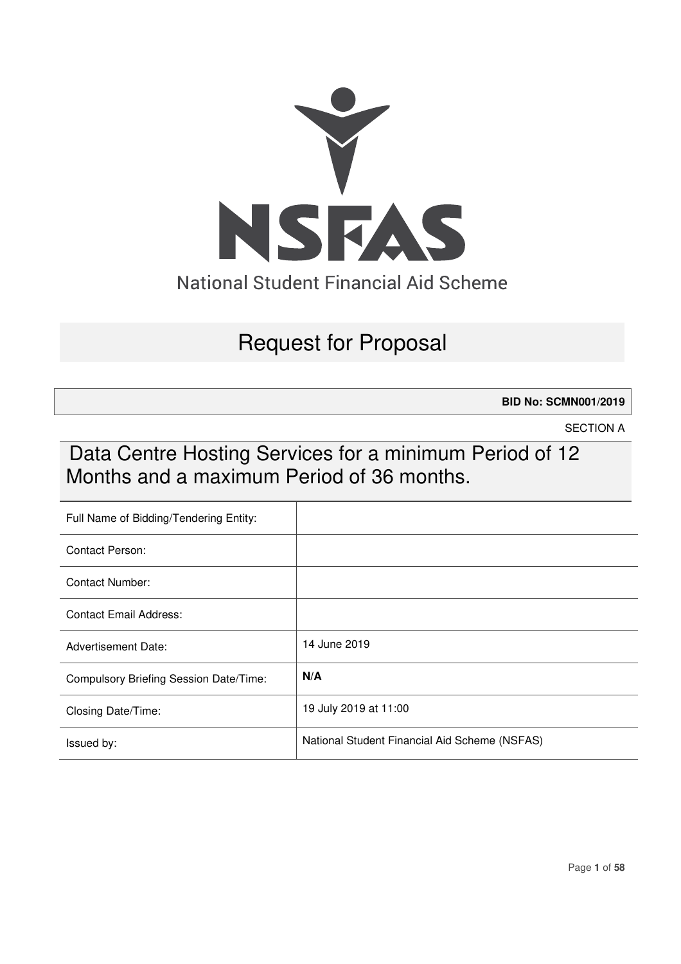

# Request for Proposal

**BID No: SCMN001/2019** 

SECTION A

# Data Centre Hosting Services for a minimum Period of 12 Months and a maximum Period of 36 months.

| Full Name of Bidding/Tendering Entity: |                                               |
|----------------------------------------|-----------------------------------------------|
| Contact Person:                        |                                               |
| <b>Contact Number:</b>                 |                                               |
| Contact Email Address:                 |                                               |
| <b>Advertisement Date:</b>             | 14 June 2019                                  |
| Compulsory Briefing Session Date/Time: | N/A                                           |
| Closing Date/Time:                     | 19 July 2019 at 11:00                         |
| Issued by:                             | National Student Financial Aid Scheme (NSFAS) |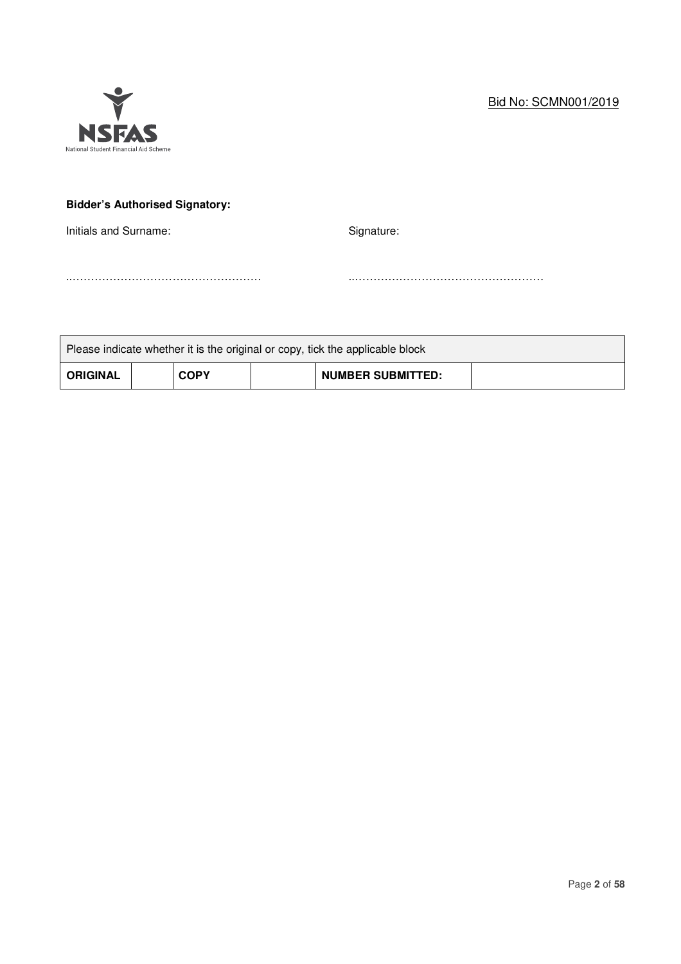# Bid No: SCMN001/2019



# **Bidder's Authorised Signatory:**

Initials and Surname: Signature: Signature:

..…………………………………………… ..……………………………………………

|                 |             | Please indicate whether it is the original or copy, tick the applicable block |  |
|-----------------|-------------|-------------------------------------------------------------------------------|--|
| <b>ORIGINAL</b> | <b>COPY</b> | <b>NUMBER SUBMITTED:</b>                                                      |  |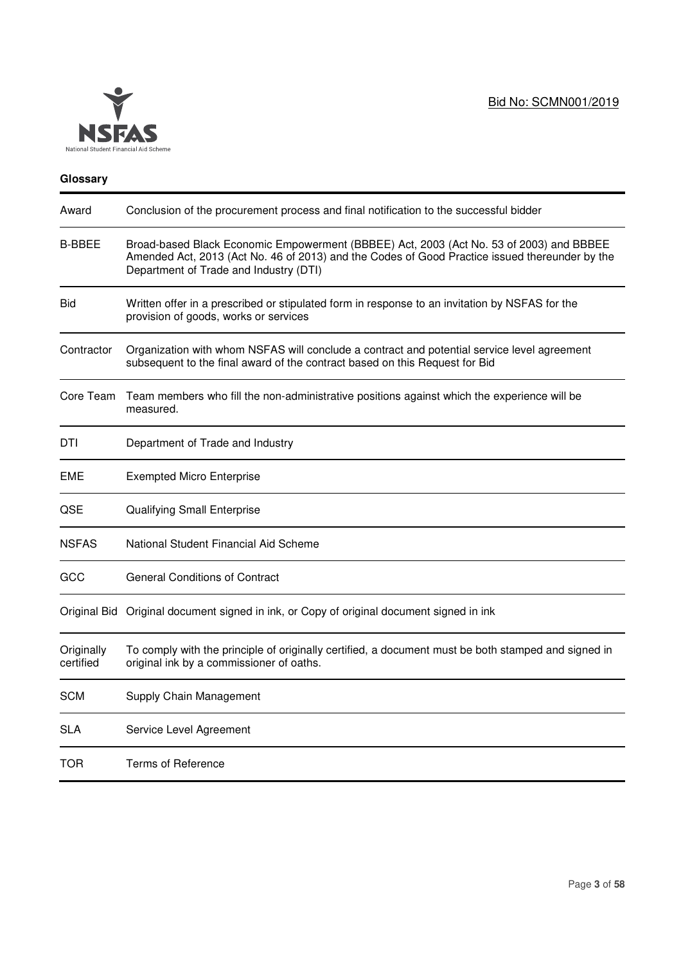

## **Glossary**

| Award                   | Conclusion of the procurement process and final notification to the successful bidder                                                                                                                                               |
|-------------------------|-------------------------------------------------------------------------------------------------------------------------------------------------------------------------------------------------------------------------------------|
| <b>B-BBEE</b>           | Broad-based Black Economic Empowerment (BBBEE) Act, 2003 (Act No. 53 of 2003) and BBBEE<br>Amended Act, 2013 (Act No. 46 of 2013) and the Codes of Good Practice issued thereunder by the<br>Department of Trade and Industry (DTI) |
| Bid                     | Written offer in a prescribed or stipulated form in response to an invitation by NSFAS for the<br>provision of goods, works or services                                                                                             |
| Contractor              | Organization with whom NSFAS will conclude a contract and potential service level agreement<br>subsequent to the final award of the contract based on this Request for Bid                                                          |
| Core Team               | Team members who fill the non-administrative positions against which the experience will be<br>measured.                                                                                                                            |
| DTI                     | Department of Trade and Industry                                                                                                                                                                                                    |
| EME                     | <b>Exempted Micro Enterprise</b>                                                                                                                                                                                                    |
| QSE                     | Qualifying Small Enterprise                                                                                                                                                                                                         |
| <b>NSFAS</b>            | National Student Financial Aid Scheme                                                                                                                                                                                               |
| GCC                     | <b>General Conditions of Contract</b>                                                                                                                                                                                               |
|                         | Original Bid Original document signed in ink, or Copy of original document signed in ink                                                                                                                                            |
| Originally<br>certified | To comply with the principle of originally certified, a document must be both stamped and signed in<br>original ink by a commissioner of oaths.                                                                                     |
| <b>SCM</b>              | Supply Chain Management                                                                                                                                                                                                             |
| SLA                     | Service Level Agreement                                                                                                                                                                                                             |
| TOR                     | <b>Terms of Reference</b>                                                                                                                                                                                                           |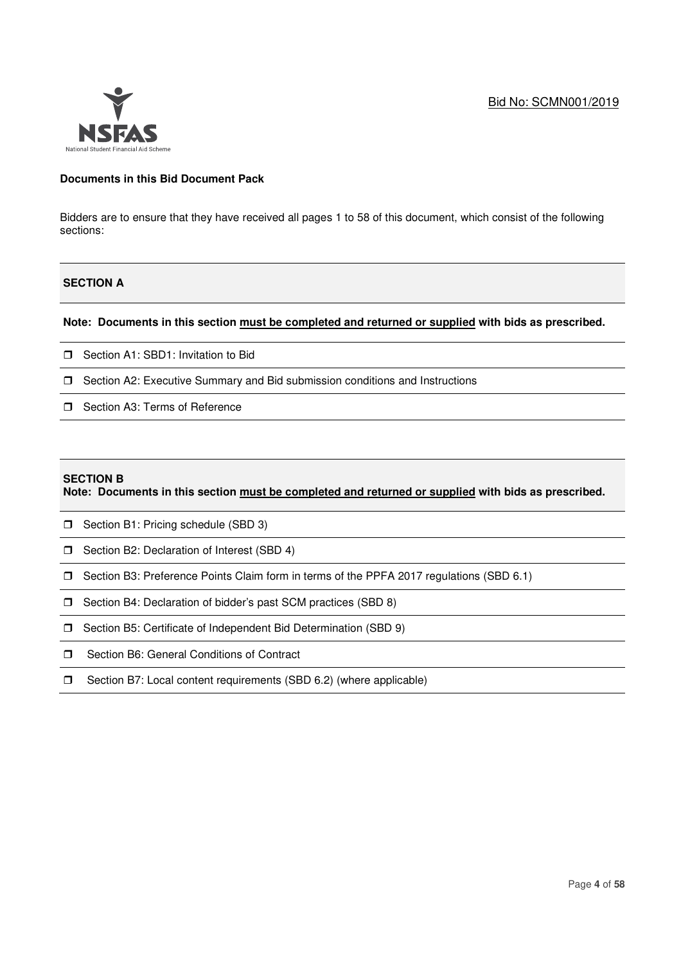

## **Documents in this Bid Document Pack**

Bidders are to ensure that they have received all pages 1 to 58 of this document, which consist of the following sections:

## **SECTION A**

## **Note: Documents in this section must be completed and returned or supplied with bids as prescribed.**

- □ Section A1: SBD1: Invitation to Bid
- $\Box$  Section A2: Executive Summary and Bid submission conditions and Instructions
- □ Section A3: Terms of Reference

#### **SECTION B**

**Note: Documents in this section must be completed and returned or supplied with bids as prescribed.** 

- **D** Section B1: Pricing schedule (SBD 3)
- □ Section B2: Declaration of Interest (SBD 4)
- Section B3: Preference Points Claim form in terms of the PPFA 2017 regulations (SBD 6.1)
- **J** Section B4: Declaration of bidder's past SCM practices (SBD 8)
- □ Section B5: Certificate of Independent Bid Determination (SBD 9)
- □ Section B6: General Conditions of Contract
- $\square$  Section B7: Local content requirements (SBD 6.2) (where applicable)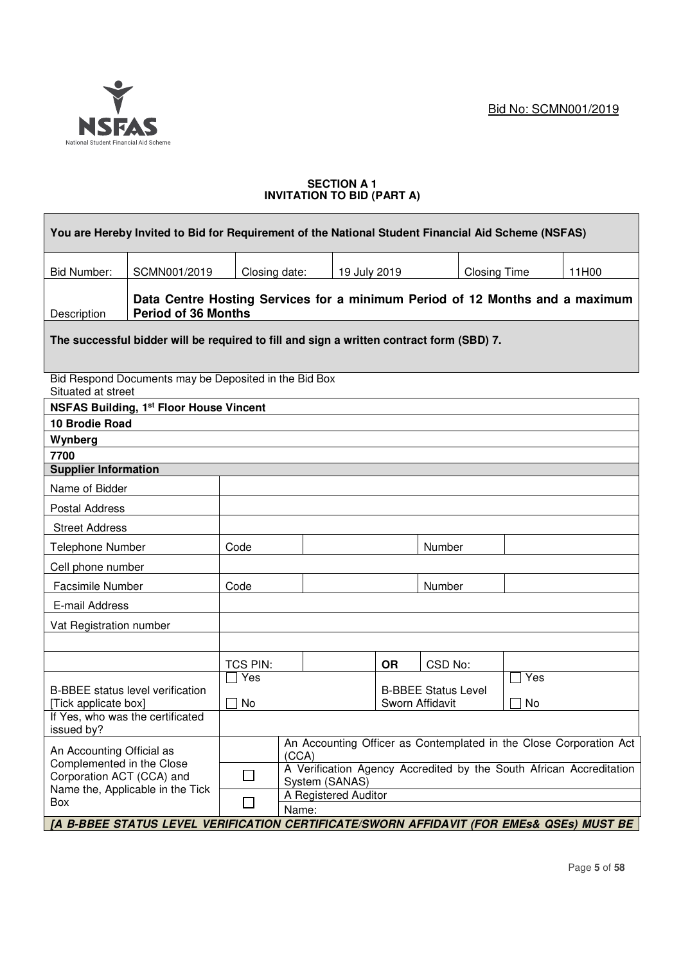

Г

## **SECTION A 1 INVITATION TO BID (PART A)**

|                                                          | You are Hereby Invited to Bid for Requirement of the National Student Financial Aid Scheme (NSFAS)         |                        |                               |              |           |                            |                     |                 |                                                                     |
|----------------------------------------------------------|------------------------------------------------------------------------------------------------------------|------------------------|-------------------------------|--------------|-----------|----------------------------|---------------------|-----------------|---------------------------------------------------------------------|
| <b>Bid Number:</b>                                       | SCMN001/2019                                                                                               | Closing date:          |                               | 19 July 2019 |           |                            | <b>Closing Time</b> |                 | 11H00                                                               |
| Description                                              | Data Centre Hosting Services for a minimum Period of 12 Months and a maximum<br><b>Period of 36 Months</b> |                        |                               |              |           |                            |                     |                 |                                                                     |
|                                                          | The successful bidder will be required to fill and sign a written contract form (SBD) 7.                   |                        |                               |              |           |                            |                     |                 |                                                                     |
| Situated at street                                       | Bid Respond Documents may be Deposited in the Bid Box                                                      |                        |                               |              |           |                            |                     |                 |                                                                     |
|                                                          | <b>NSFAS Building, 1st Floor House Vincent</b>                                                             |                        |                               |              |           |                            |                     |                 |                                                                     |
| 10 Brodie Road                                           |                                                                                                            |                        |                               |              |           |                            |                     |                 |                                                                     |
| Wynberg                                                  |                                                                                                            |                        |                               |              |           |                            |                     |                 |                                                                     |
| 7700                                                     |                                                                                                            |                        |                               |              |           |                            |                     |                 |                                                                     |
| <b>Supplier Information</b>                              |                                                                                                            |                        |                               |              |           |                            |                     |                 |                                                                     |
| Name of Bidder                                           |                                                                                                            |                        |                               |              |           |                            |                     |                 |                                                                     |
| <b>Postal Address</b>                                    |                                                                                                            |                        |                               |              |           |                            |                     |                 |                                                                     |
| <b>Street Address</b>                                    |                                                                                                            |                        |                               |              |           |                            |                     |                 |                                                                     |
| Telephone Number                                         |                                                                                                            | Code                   |                               |              |           | Number                     |                     |                 |                                                                     |
| Cell phone number                                        |                                                                                                            |                        |                               |              |           |                            |                     |                 |                                                                     |
| Facsimile Number                                         |                                                                                                            | Code                   |                               |              |           | Number                     |                     |                 |                                                                     |
| E-mail Address                                           |                                                                                                            |                        |                               |              |           |                            |                     |                 |                                                                     |
| Vat Registration number                                  |                                                                                                            |                        |                               |              |           |                            |                     |                 |                                                                     |
|                                                          |                                                                                                            |                        |                               |              |           |                            |                     |                 |                                                                     |
|                                                          |                                                                                                            | <b>TCS PIN:</b><br>Yes |                               |              | <b>OR</b> | CSD No:                    |                     | $\sqsupset$ Yes |                                                                     |
|                                                          | <b>B-BBEE</b> status level verification                                                                    | <b>No</b>              |                               |              |           | <b>B-BBEE Status Level</b> |                     | No              |                                                                     |
| [Tick applicate box]<br>If Yes, who was the certificated |                                                                                                            |                        |                               |              |           | Sworn Affidavit            |                     |                 |                                                                     |
| issued by?                                               |                                                                                                            |                        |                               |              |           |                            |                     |                 |                                                                     |
| An Accounting Official as                                |                                                                                                            |                        | (CCA)                         |              |           |                            |                     |                 | An Accounting Officer as Contemplated in the Close Corporation Act  |
| Complemented in the Close<br>Corporation ACT (CCA) and   |                                                                                                            |                        | System (SANAS)                |              |           |                            |                     |                 | A Verification Agency Accredited by the South African Accreditation |
| Name the, Applicable in the Tick<br>Box                  |                                                                                                            |                        | A Registered Auditor<br>Name: |              |           |                            |                     |                 |                                                                     |
|                                                          | JA B-BBEE STATUS LEVEL VERIFICATION CERTIFICATE/SWORN AFFIDAVIT (FOR EMEs& QSEs) MUST BE                   |                        |                               |              |           |                            |                     |                 |                                                                     |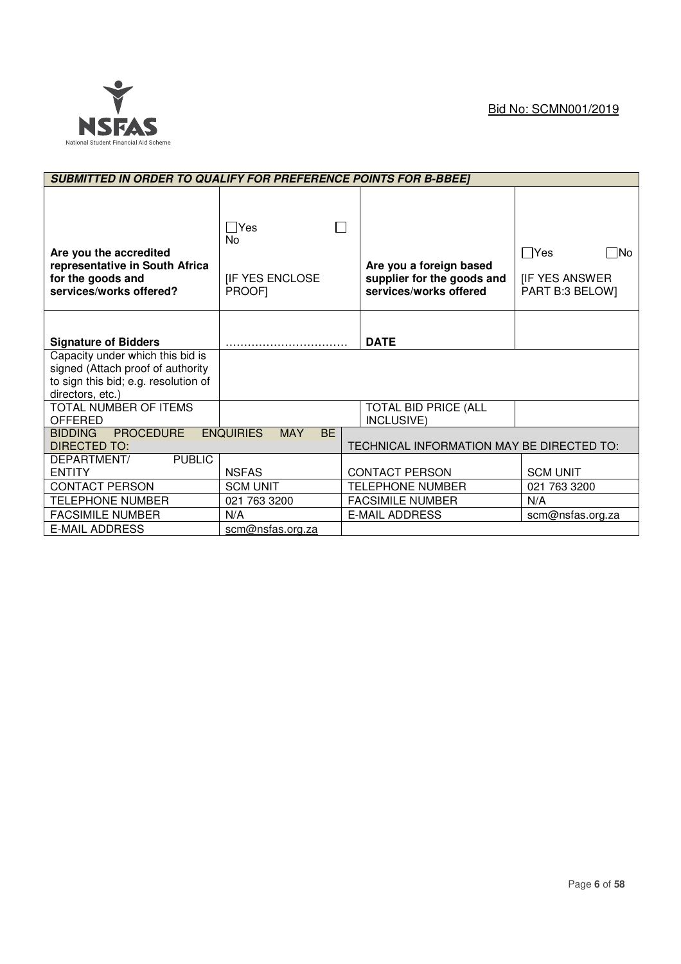

| <b>SUBMITTED IN ORDER TO QUALIFY FOR PREFERENCE POINTS FOR B-BBEET</b>                                                            |                                                                   |                                                                                 |                                                                |
|-----------------------------------------------------------------------------------------------------------------------------------|-------------------------------------------------------------------|---------------------------------------------------------------------------------|----------------------------------------------------------------|
| Are you the accredited<br>representative in South Africa<br>for the goods and<br>services/works offered?                          | $\Box$ Yes<br><b>No</b><br><b>IF YES ENCLOSE</b><br><b>PROOFI</b> | Are you a foreign based<br>supplier for the goods and<br>services/works offered | $\Box$ Yes<br>i ∏No<br><b>IF YES ANSWER</b><br>PART B:3 BELOW] |
| <b>Signature of Bidders</b>                                                                                                       |                                                                   | <b>DATE</b>                                                                     |                                                                |
| Capacity under which this bid is<br>signed (Attach proof of authority<br>to sign this bid; e.g. resolution of<br>directors, etc.) |                                                                   |                                                                                 |                                                                |
| TOTAL NUMBER OF ITEMS<br>OFFERED                                                                                                  |                                                                   | <b>TOTAL BID PRICE (ALL</b><br>INCLUSIVE)                                       |                                                                |
| <b>PROCEDURE</b><br><b>BIDDING</b><br><b>DIRECTED TO:</b>                                                                         | <b>ENQUIRIES</b><br><b>MAY</b><br><b>BE</b>                       | TECHNICAL INFORMATION MAY BE DIRECTED TO:                                       |                                                                |
| <b>PUBLIC</b><br>DEPARTMENT/<br><b>ENTITY</b>                                                                                     | <b>NSFAS</b>                                                      | <b>CONTACT PERSON</b>                                                           | <b>SCM UNIT</b>                                                |
| <b>CONTACT PERSON</b>                                                                                                             | <b>SCM UNIT</b>                                                   | <b>TELEPHONE NUMBER</b>                                                         | 021 763 3200                                                   |
| <b>TELEPHONE NUMBER</b>                                                                                                           | 021 763 3200                                                      | <b>FACSIMILE NUMBER</b>                                                         | N/A                                                            |
| <b>FACSIMILE NUMBER</b>                                                                                                           | N/A                                                               | <b>E-MAIL ADDRESS</b>                                                           | scm@nsfas.org.za                                               |
| <b>E-MAIL ADDRESS</b>                                                                                                             | scm@nsfas.org.za                                                  |                                                                                 |                                                                |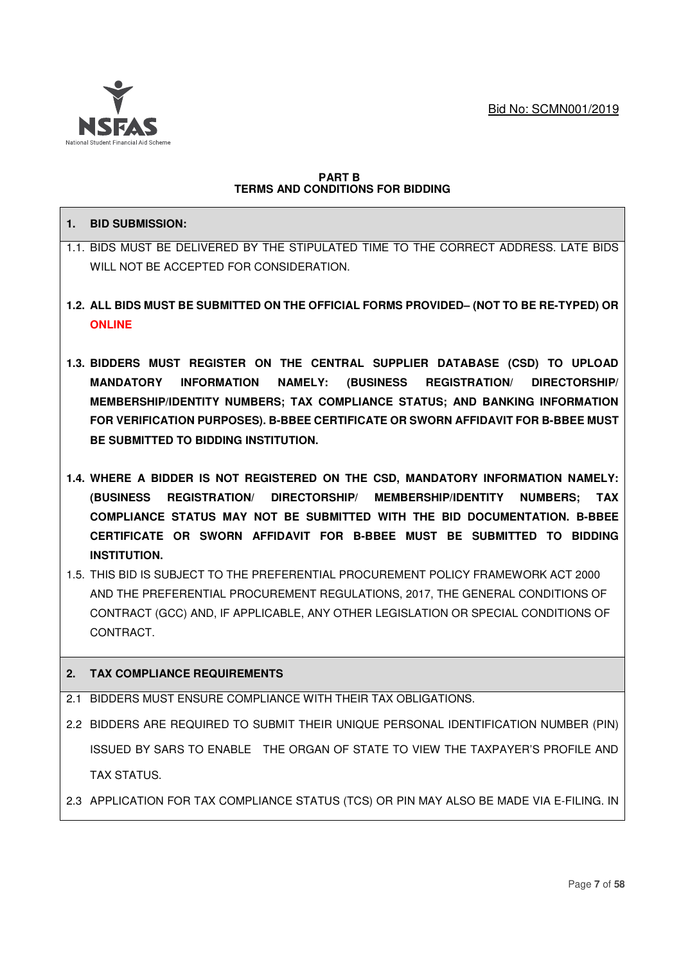

## **PART B TERMS AND CONDITIONS FOR BIDDING**

## **1. BID SUBMISSION:**

- 1.1. BIDS MUST BE DELIVERED BY THE STIPULATED TIME TO THE CORRECT ADDRESS. LATE BIDS WILL NOT BE ACCEPTED FOR CONSIDERATION.
- **1.2. ALL BIDS MUST BE SUBMITTED ON THE OFFICIAL FORMS PROVIDED– (NOT TO BE RE-TYPED) OR ONLINE**
- **1.3. BIDDERS MUST REGISTER ON THE CENTRAL SUPPLIER DATABASE (CSD) TO UPLOAD MANDATORY INFORMATION NAMELY: (BUSINESS REGISTRATION/ DIRECTORSHIP/ MEMBERSHIP/IDENTITY NUMBERS; TAX COMPLIANCE STATUS; AND BANKING INFORMATION FOR VERIFICATION PURPOSES). B-BBEE CERTIFICATE OR SWORN AFFIDAVIT FOR B-BBEE MUST BE SUBMITTED TO BIDDING INSTITUTION.**
- **1.4. WHERE A BIDDER IS NOT REGISTERED ON THE CSD, MANDATORY INFORMATION NAMELY: (BUSINESS REGISTRATION/ DIRECTORSHIP/ MEMBERSHIP/IDENTITY NUMBERS; TAX COMPLIANCE STATUS MAY NOT BE SUBMITTED WITH THE BID DOCUMENTATION. B-BBEE CERTIFICATE OR SWORN AFFIDAVIT FOR B-BBEE MUST BE SUBMITTED TO BIDDING INSTITUTION.**
- 1.5. THIS BID IS SUBJECT TO THE PREFERENTIAL PROCUREMENT POLICY FRAMEWORK ACT 2000 AND THE PREFERENTIAL PROCUREMENT REGULATIONS, 2017, THE GENERAL CONDITIONS OF CONTRACT (GCC) AND, IF APPLICABLE, ANY OTHER LEGISLATION OR SPECIAL CONDITIONS OF CONTRACT.

# **2. TAX COMPLIANCE REQUIREMENTS**

- 2.1 BIDDERS MUST ENSURE COMPLIANCE WITH THEIR TAX OBLIGATIONS.
- 2.2 BIDDERS ARE REQUIRED TO SUBMIT THEIR UNIQUE PERSONAL IDENTIFICATION NUMBER (PIN) ISSUED BY SARS TO ENABLE THE ORGAN OF STATE TO VIEW THE TAXPAYER'S PROFILE AND TAX STATUS.
- 2.3 APPLICATION FOR TAX COMPLIANCE STATUS (TCS) OR PIN MAY ALSO BE MADE VIA E-FILING. IN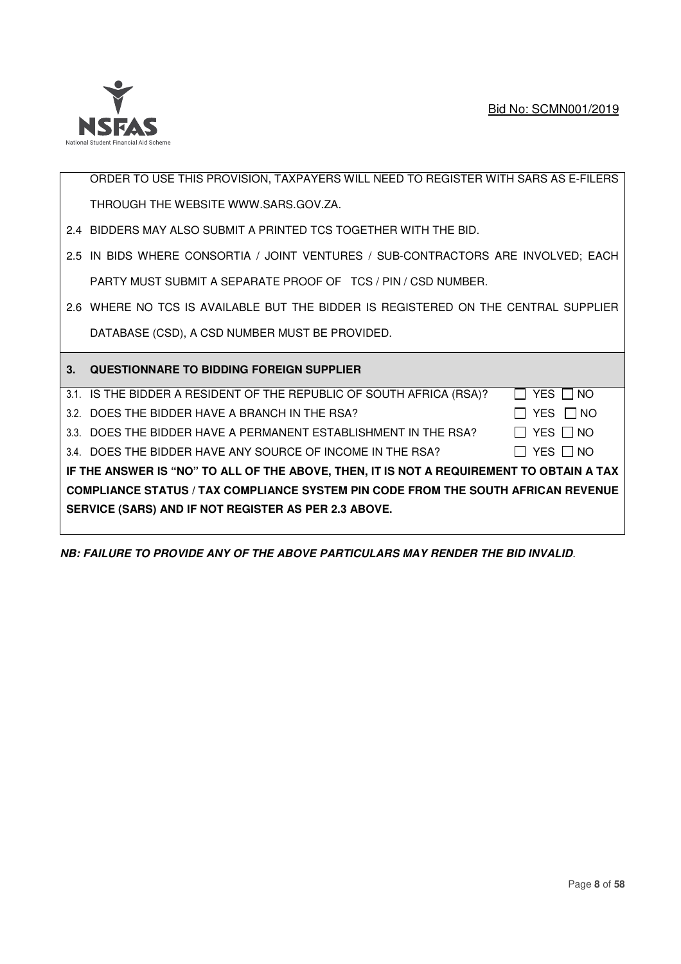

ORDER TO USE THIS PROVISION, TAXPAYERS WILL NEED TO REGISTER WITH SARS AS E-FILERS THROUGH THE WEBSITE WWW.SARS.GOV.ZA.

- 2.4 BIDDERS MAY ALSO SUBMIT A PRINTED TCS TOGETHER WITH THE BID.
- 2.5 IN BIDS WHERE CONSORTIA / JOINT VENTURES / SUB-CONTRACTORS ARE INVOLVED; EACH PARTY MUST SUBMIT A SEPARATE PROOF OF TCS / PIN / CSD NUMBER.
- 2.6 WHERE NO TCS IS AVAILABLE BUT THE BIDDER IS REGISTERED ON THE CENTRAL SUPPLIER DATABASE (CSD), A CSD NUMBER MUST BE PROVIDED.

| DATABASE (USD), A USD NUMBER MUST BE PROVIDED.                                           |                      |
|------------------------------------------------------------------------------------------|----------------------|
| 3. QUESTIONNARE TO BIDDING FOREIGN SUPPLIER                                              |                      |
| 3.1. IS THE BIDDER A RESIDENT OF THE REPUBLIC OF SOUTH AFRICA (RSA)?                     | YES I NO             |
| 3.2. DOES THE BIDDER HAVE A BRANCH IN THE RSA?                                           | YES $\Box$ NO        |
| 3.3. DOES THE BIDDER HAVE A PERMANENT ESTABLISHMENT IN THE RSA?                          | $\Box$ Yes $\Box$ No |
| 3.4. DOES THE BIDDER HAVE ANY SOURCE OF INCOME IN THE RSA?                               | YES □ NO             |
| IF THE ANSWER IS "NO" TO ALL OF THE ABOVE, THEN, IT IS NOT A REQUIREMENT TO OBTAIN A TAX |                      |
| <b>COMPLIANCE STATUS / TAX COMPLIANCE SYSTEM PIN CODE FROM THE SOUTH AFRICAN REVENUE</b> |                      |
| SERVICE (SARS) AND IF NOT REGISTER AS PER 2.3 ABOVE.                                     |                      |

**NB: FAILURE TO PROVIDE ANY OF THE ABOVE PARTICULARS MAY RENDER THE BID INVALID***.*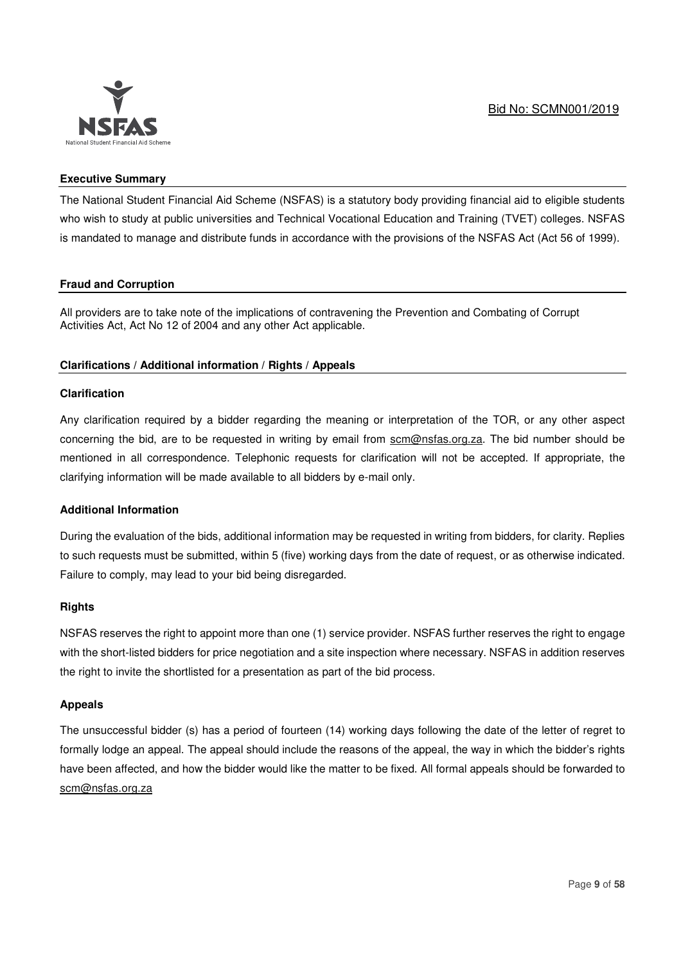

## **Executive Summary**

The National Student Financial Aid Scheme (NSFAS) is a statutory body providing financial aid to eligible students who wish to study at public universities and Technical Vocational Education and Training (TVET) colleges. NSFAS is mandated to manage and distribute funds in accordance with the provisions of the NSFAS Act (Act 56 of 1999).

## **Fraud and Corruption**

All providers are to take note of the implications of contravening the Prevention and Combating of Corrupt Activities Act, Act No 12 of 2004 and any other Act applicable.

## **Clarifications / Additional information / Rights / Appeals**

#### **Clarification**

Any clarification required by a bidder regarding the meaning or interpretation of the TOR, or any other aspect concerning the bid, are to be requested in writing by email from scm@nsfas.org.za. The bid number should be mentioned in all correspondence. Telephonic requests for clarification will not be accepted. If appropriate, the clarifying information will be made available to all bidders by e-mail only.

#### **Additional Information**

During the evaluation of the bids, additional information may be requested in writing from bidders, for clarity. Replies to such requests must be submitted, within 5 (five) working days from the date of request, or as otherwise indicated. Failure to comply, may lead to your bid being disregarded.

#### **Rights**

NSFAS reserves the right to appoint more than one (1) service provider. NSFAS further reserves the right to engage with the short-listed bidders for price negotiation and a site inspection where necessary. NSFAS in addition reserves the right to invite the shortlisted for a presentation as part of the bid process.

#### **Appeals**

The unsuccessful bidder (s) has a period of fourteen (14) working days following the date of the letter of regret to formally lodge an appeal. The appeal should include the reasons of the appeal, the way in which the bidder's rights have been affected, and how the bidder would like the matter to be fixed. All formal appeals should be forwarded to scm@nsfas.org.za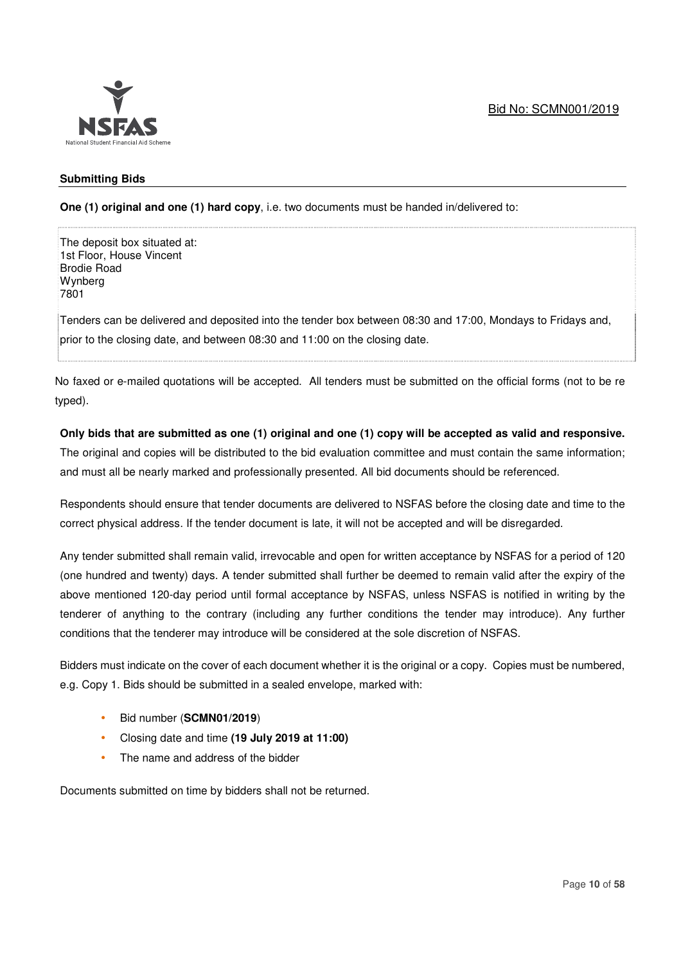

## **Submitting Bids**

**One (1) original and one (1) hard copy**, i.e. two documents must be handed in/delivered to:

The deposit box situated at: 1st Floor, House Vincent Brodie Road Wynberg 7801

Tenders can be delivered and deposited into the tender box between 08:30 and 17:00, Mondays to Fridays and, prior to the closing date, and between 08:30 and 11:00 on the closing date.

No faxed or e-mailed quotations will be accepted. All tenders must be submitted on the official forms (not to be re typed).

## **Only bids that are submitted as one (1) original and one (1) copy will be accepted as valid and responsive.**

The original and copies will be distributed to the bid evaluation committee and must contain the same information; and must all be nearly marked and professionally presented. All bid documents should be referenced.

Respondents should ensure that tender documents are delivered to NSFAS before the closing date and time to the correct physical address. If the tender document is late, it will not be accepted and will be disregarded.

Any tender submitted shall remain valid, irrevocable and open for written acceptance by NSFAS for a period of 120 (one hundred and twenty) days. A tender submitted shall further be deemed to remain valid after the expiry of the above mentioned 120-day period until formal acceptance by NSFAS, unless NSFAS is notified in writing by the tenderer of anything to the contrary (including any further conditions the tender may introduce). Any further conditions that the tenderer may introduce will be considered at the sole discretion of NSFAS.

Bidders must indicate on the cover of each document whether it is the original or a copy. Copies must be numbered, e.g. Copy 1. Bids should be submitted in a sealed envelope, marked with:

- Bid number (**SCMN01/2019**)
- Closing date and time **(19 July 2019 at 11:00)**
- The name and address of the bidder

Documents submitted on time by bidders shall not be returned.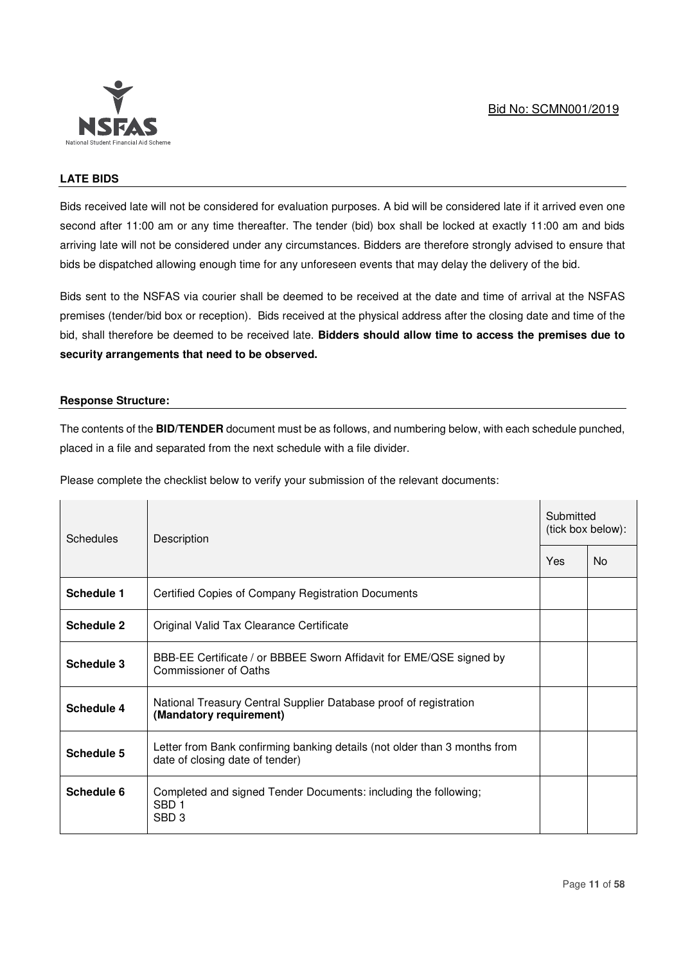

## **LATE BIDS**

Bids received late will not be considered for evaluation purposes. A bid will be considered late if it arrived even one second after 11:00 am or any time thereafter. The tender (bid) box shall be locked at exactly 11:00 am and bids arriving late will not be considered under any circumstances. Bidders are therefore strongly advised to ensure that bids be dispatched allowing enough time for any unforeseen events that may delay the delivery of the bid.

Bids sent to the NSFAS via courier shall be deemed to be received at the date and time of arrival at the NSFAS premises (tender/bid box or reception). Bids received at the physical address after the closing date and time of the bid, shall therefore be deemed to be received late. **Bidders should allow time to access the premises due to security arrangements that need to be observed.**

## **Response Structure:**

The contents of the **BID/TENDER** document must be as follows, and numbering below, with each schedule punched, placed in a file and separated from the next schedule with a file divider.

Please complete the checklist below to verify your submission of the relevant documents:

| Schedules  | Description                                                                                                  | Submitted<br>(tick box below): |           |
|------------|--------------------------------------------------------------------------------------------------------------|--------------------------------|-----------|
|            |                                                                                                              | Yes                            | <b>No</b> |
| Schedule 1 | Certified Copies of Company Registration Documents                                                           |                                |           |
| Schedule 2 | Original Valid Tax Clearance Certificate                                                                     |                                |           |
| Schedule 3 | BBB-EE Certificate / or BBBEE Sworn Affidavit for EME/QSE signed by<br>Commissioner of Oaths                 |                                |           |
| Schedule 4 | National Treasury Central Supplier Database proof of registration<br>(Mandatory requirement)                 |                                |           |
| Schedule 5 | Letter from Bank confirming banking details (not older than 3 months from<br>date of closing date of tender) |                                |           |
| Schedule 6 | Completed and signed Tender Documents: including the following;<br>SBD <sub>1</sub><br>SBD <sub>3</sub>      |                                |           |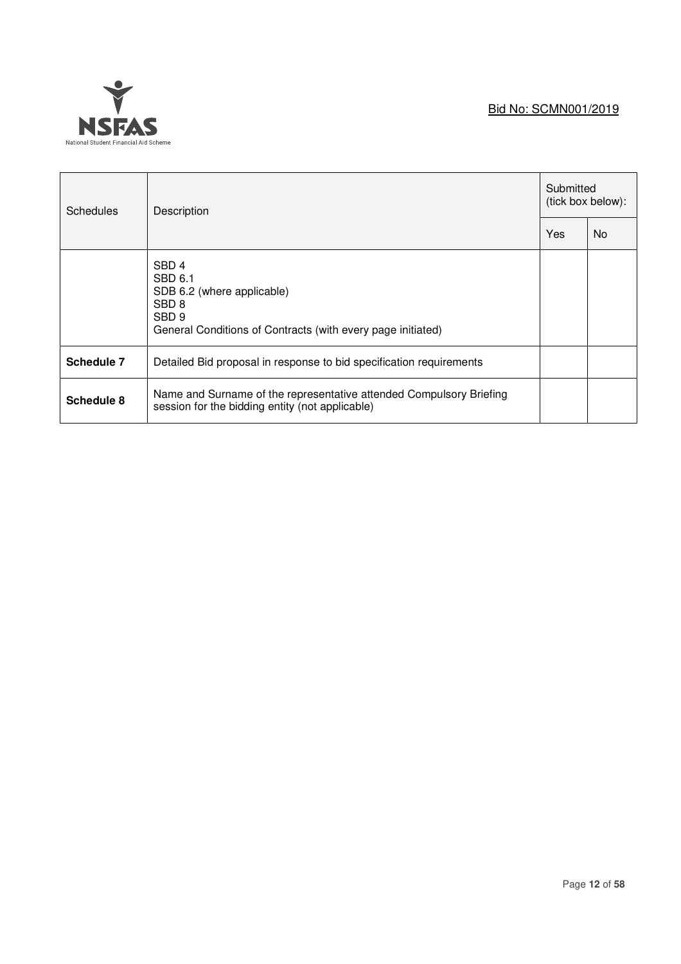# Bid No: SCMN001/2019



| <b>Schedules</b> | Description                                                                                                                                                      | Submitted<br>(tick box below): |    |
|------------------|------------------------------------------------------------------------------------------------------------------------------------------------------------------|--------------------------------|----|
|                  |                                                                                                                                                                  | Yes                            | No |
|                  | SBD <sub>4</sub><br>SBD 6.1<br>SDB 6.2 (where applicable)<br>SBD <sub>8</sub><br>SBD <sub>9</sub><br>General Conditions of Contracts (with every page initiated) |                                |    |
| Schedule 7       | Detailed Bid proposal in response to bid specification requirements                                                                                              |                                |    |
| Schedule 8       | Name and Surname of the representative attended Compulsory Briefing<br>session for the bidding entity (not applicable)                                           |                                |    |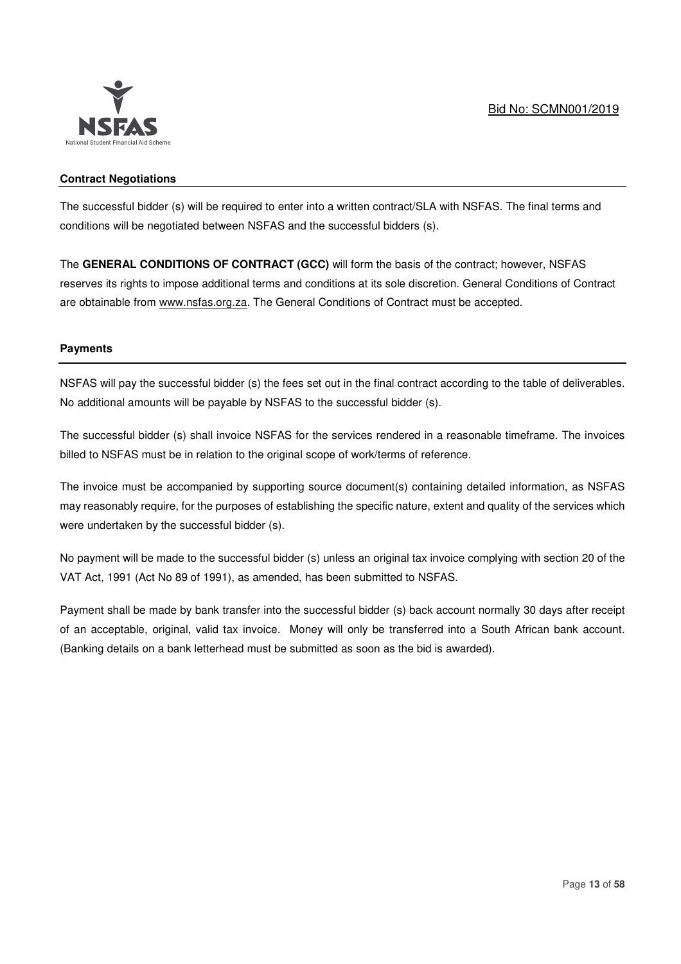

## **Contract Negotiations**

The successful bidder (s) will be required to enter into a written contract/SLA with NSFAS. The final terms and conditions will be negotiated between NSFAS and the successful bidders (s).

The **GENERAL CONDITIONS OF CONTRACT (GCC)** will form the basis of the contract; however, NSFAS reserves its rights to impose additional terms and conditions at its sole discretion. General Conditions of Contract are obtainable from www.nsfas.org.za. The General Conditions of Contract must be accepted.

## **Payments**

NSFAS will pay the successful bidder (s) the fees set out in the final contract according to the table of deliverables. No additional amounts will be payable by NSFAS to the successful bidder (s).

The successful bidder (s) shall invoice NSFAS for the services rendered in a reasonable timeframe. The invoices billed to NSFAS must be in relation to the original scope of work/terms of reference.

The invoice must be accompanied by supporting source document(s) containing detailed information, as NSFAS may reasonably require, for the purposes of establishing the specific nature, extent and quality of the services which were undertaken by the successful bidder (s).

No payment will be made to the successful bidder (s) unless an original tax invoice complying with section 20 of the VAT Act, 1991 (Act No 89 of 1991), as amended, has been submitted to NSFAS.

Payment shall be made by bank transfer into the successful bidder (s) back account normally 30 days after receipt of an acceptable, original, valid tax invoice. Money will only be transferred into a South African bank account. (Banking details on a bank letterhead must be submitted as soon as the bid is awarded).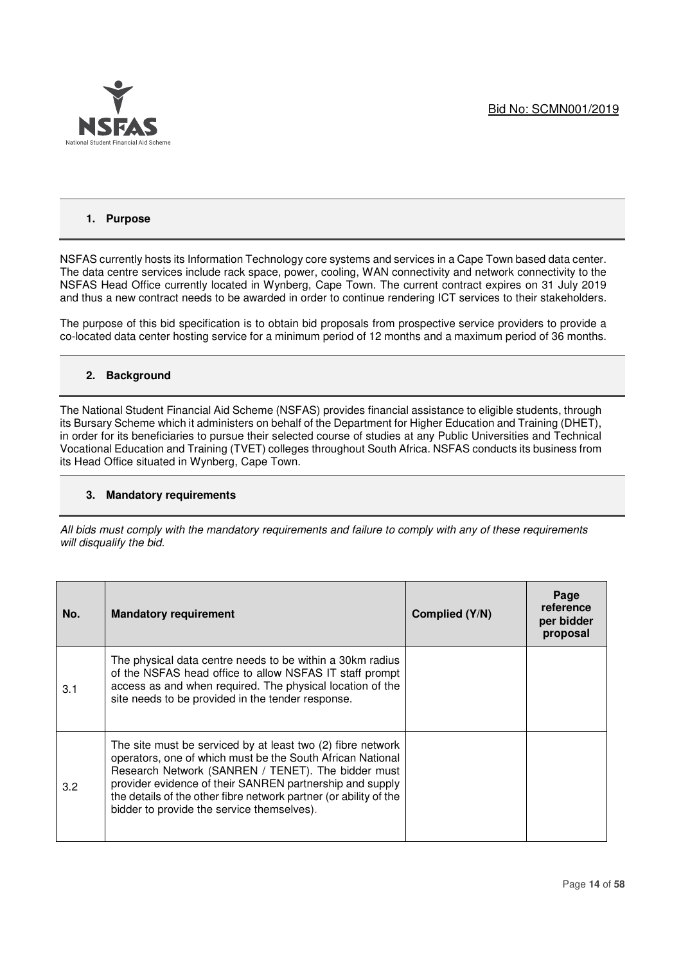

## **1. Purpose**

NSFAS currently hosts its Information Technology core systems and services in a Cape Town based data center. The data centre services include rack space, power, cooling, WAN connectivity and network connectivity to the NSFAS Head Office currently located in Wynberg, Cape Town. The current contract expires on 31 July 2019 and thus a new contract needs to be awarded in order to continue rendering ICT services to their stakeholders.

The purpose of this bid specification is to obtain bid proposals from prospective service providers to provide a co-located data center hosting service for a minimum period of 12 months and a maximum period of 36 months.

## **2. Background**

The National Student Financial Aid Scheme (NSFAS) provides financial assistance to eligible students, through its Bursary Scheme which it administers on behalf of the Department for Higher Education and Training (DHET), in order for its beneficiaries to pursue their selected course of studies at any Public Universities and Technical Vocational Education and Training (TVET) colleges throughout South Africa. NSFAS conducts its business from its Head Office situated in Wynberg, Cape Town.

#### **3. Mandatory requirements**

*All bids must comply with the mandatory requirements and failure to comply with any of these requirements will disqualify the bid.* 

| No. | <b>Mandatory requirement</b>                                                                                                                                                                                                                                                                                                                                   | Complied (Y/N) | Page<br>reference<br>per bidder<br>proposal |
|-----|----------------------------------------------------------------------------------------------------------------------------------------------------------------------------------------------------------------------------------------------------------------------------------------------------------------------------------------------------------------|----------------|---------------------------------------------|
| 3.1 | The physical data centre needs to be within a 30km radius<br>of the NSFAS head office to allow NSFAS IT staff prompt<br>access as and when required. The physical location of the<br>site needs to be provided in the tender response.                                                                                                                         |                |                                             |
| 3.2 | The site must be serviced by at least two (2) fibre network<br>operators, one of which must be the South African National<br>Research Network (SANREN / TENET). The bidder must<br>provider evidence of their SANREN partnership and supply<br>the details of the other fibre network partner (or ability of the<br>bidder to provide the service themselves). |                |                                             |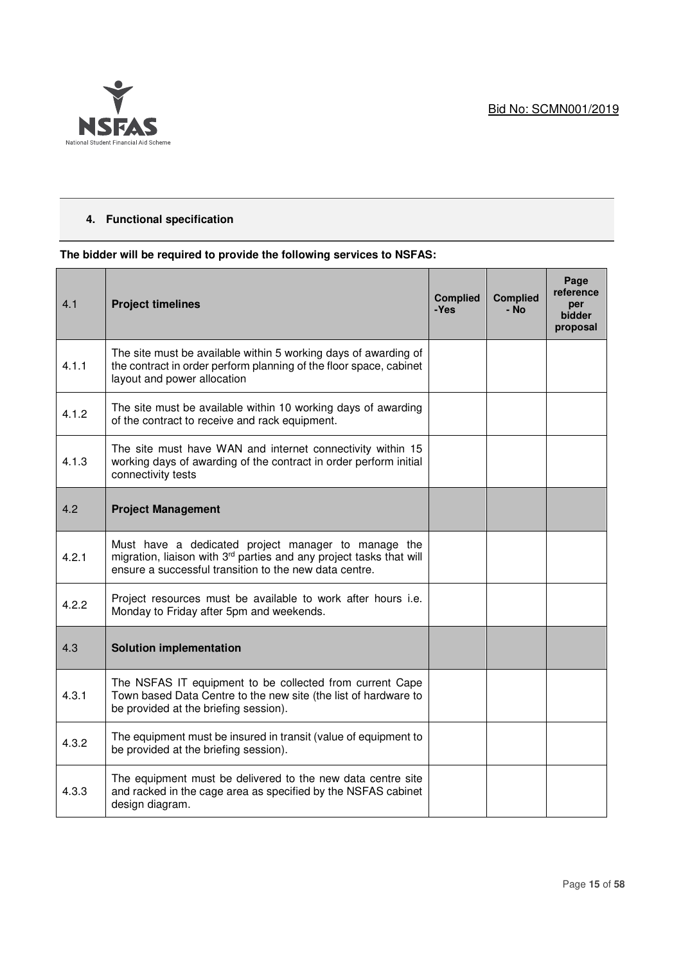

## **4. Functional specification**

## **The bidder will be required to provide the following services to NSFAS:**

| 4.1   | <b>Project timelines</b>                                                                                                                                                             | <b>Complied</b><br>-Yes | <b>Complied</b><br>- No | Page<br>reference<br>per<br><b>bidder</b><br>proposal |
|-------|--------------------------------------------------------------------------------------------------------------------------------------------------------------------------------------|-------------------------|-------------------------|-------------------------------------------------------|
| 4.1.1 | The site must be available within 5 working days of awarding of<br>the contract in order perform planning of the floor space, cabinet<br>layout and power allocation                 |                         |                         |                                                       |
| 4.1.2 | The site must be available within 10 working days of awarding<br>of the contract to receive and rack equipment.                                                                      |                         |                         |                                                       |
| 4.1.3 | The site must have WAN and internet connectivity within 15<br>working days of awarding of the contract in order perform initial<br>connectivity tests                                |                         |                         |                                                       |
| 4.2   | <b>Project Management</b>                                                                                                                                                            |                         |                         |                                                       |
| 4.2.1 | Must have a dedicated project manager to manage the<br>migration, liaison with 3rd parties and any project tasks that will<br>ensure a successful transition to the new data centre. |                         |                         |                                                       |
| 4.2.2 | Project resources must be available to work after hours i.e.<br>Monday to Friday after 5pm and weekends.                                                                             |                         |                         |                                                       |
| 4.3   | <b>Solution implementation</b>                                                                                                                                                       |                         |                         |                                                       |
| 4.3.1 | The NSFAS IT equipment to be collected from current Cape<br>Town based Data Centre to the new site (the list of hardware to<br>be provided at the briefing session).                 |                         |                         |                                                       |
| 4.3.2 | The equipment must be insured in transit (value of equipment to<br>be provided at the briefing session).                                                                             |                         |                         |                                                       |
| 4.3.3 | The equipment must be delivered to the new data centre site<br>and racked in the cage area as specified by the NSFAS cabinet<br>design diagram.                                      |                         |                         |                                                       |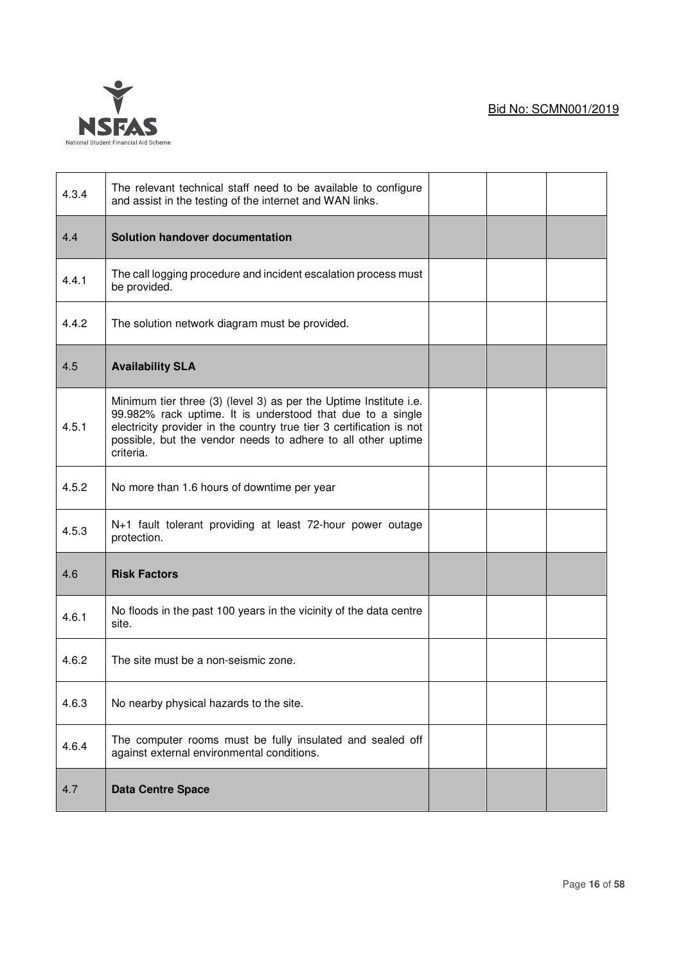

| 4.3.4 | The relevant technical staff need to be available to configure<br>and assist in the testing of the internet and WAN links.                                                                                                                                                           |  |  |
|-------|--------------------------------------------------------------------------------------------------------------------------------------------------------------------------------------------------------------------------------------------------------------------------------------|--|--|
| 4.4   | Solution handover documentation                                                                                                                                                                                                                                                      |  |  |
| 4.4.1 | The call logging procedure and incident escalation process must<br>be provided.                                                                                                                                                                                                      |  |  |
| 4.4.2 | The solution network diagram must be provided.                                                                                                                                                                                                                                       |  |  |
| 4.5   | <b>Availability SLA</b>                                                                                                                                                                                                                                                              |  |  |
| 4.5.1 | Minimum tier three (3) (level 3) as per the Uptime Institute i.e.<br>99.982% rack uptime. It is understood that due to a single<br>electricity provider in the country true tier 3 certification is not<br>possible, but the vendor needs to adhere to all other uptime<br>criteria. |  |  |
| 4.5.2 | No more than 1.6 hours of downtime per year                                                                                                                                                                                                                                          |  |  |
| 4.5.3 | N+1 fault tolerant providing at least 72-hour power outage<br>protection.                                                                                                                                                                                                            |  |  |
| 4.6   | <b>Risk Factors</b>                                                                                                                                                                                                                                                                  |  |  |
| 4.6.1 | No floods in the past 100 years in the vicinity of the data centre<br>site.                                                                                                                                                                                                          |  |  |
| 4.6.2 | The site must be a non-seismic zone.                                                                                                                                                                                                                                                 |  |  |
| 4.6.3 | No nearby physical hazards to the site.                                                                                                                                                                                                                                              |  |  |
| 4.6.4 | The computer rooms must be fully insulated and sealed off<br>against external environmental conditions.                                                                                                                                                                              |  |  |
| 4.7   | <b>Data Centre Space</b>                                                                                                                                                                                                                                                             |  |  |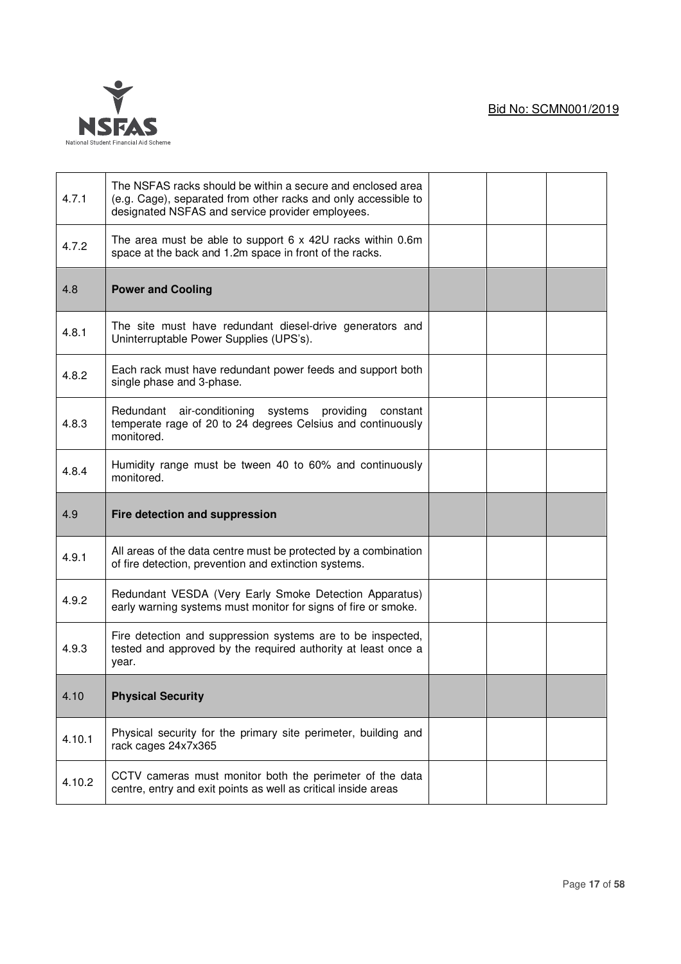

| 4.7.1  | The NSFAS racks should be within a secure and enclosed area<br>(e.g. Cage), separated from other racks and only accessible to<br>designated NSFAS and service provider employees. |  |  |
|--------|-----------------------------------------------------------------------------------------------------------------------------------------------------------------------------------|--|--|
| 4.7.2  | The area must be able to support $6 \times 42U$ racks within 0.6m<br>space at the back and 1.2m space in front of the racks.                                                      |  |  |
| 4.8    | <b>Power and Cooling</b>                                                                                                                                                          |  |  |
| 4.8.1  | The site must have redundant diesel-drive generators and<br>Uninterruptable Power Supplies (UPS's).                                                                               |  |  |
| 4.8.2  | Each rack must have redundant power feeds and support both<br>single phase and 3-phase.                                                                                           |  |  |
| 4.8.3  | Redundant air-conditioning systems providing constant<br>temperate rage of 20 to 24 degrees Celsius and continuously<br>monitored.                                                |  |  |
| 4.8.4  | Humidity range must be tween 40 to 60% and continuously<br>monitored.                                                                                                             |  |  |
|        |                                                                                                                                                                                   |  |  |
| 4.9    | Fire detection and suppression                                                                                                                                                    |  |  |
| 4.9.1  | All areas of the data centre must be protected by a combination<br>of fire detection, prevention and extinction systems.                                                          |  |  |
| 4.9.2  | Redundant VESDA (Very Early Smoke Detection Apparatus)<br>early warning systems must monitor for signs of fire or smoke.                                                          |  |  |
| 4.9.3  | Fire detection and suppression systems are to be inspected,<br>tested and approved by the required authority at least once a<br>year.                                             |  |  |
| 4.10   | <b>Physical Security</b>                                                                                                                                                          |  |  |
| 4.10.1 | Physical security for the primary site perimeter, building and<br>rack cages 24x7x365                                                                                             |  |  |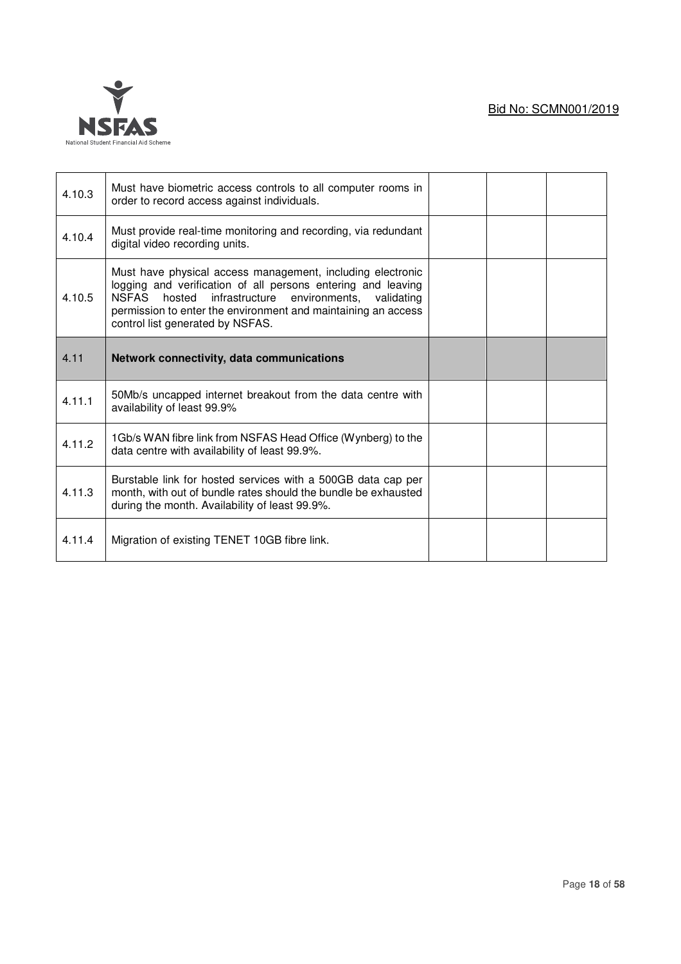

| 4.10.3 | Must have biometric access controls to all computer rooms in<br>order to record access against individuals.                                                                                                                                                                                         |  |  |
|--------|-----------------------------------------------------------------------------------------------------------------------------------------------------------------------------------------------------------------------------------------------------------------------------------------------------|--|--|
| 4.10.4 | Must provide real-time monitoring and recording, via redundant<br>digital video recording units.                                                                                                                                                                                                    |  |  |
| 4.10.5 | Must have physical access management, including electronic<br>logging and verification of all persons entering and leaving<br>NSFAS<br>infrastructure<br>environments,<br>hosted<br>validating<br>permission to enter the environment and maintaining an access<br>control list generated by NSFAS. |  |  |
| 4.11   | Network connectivity, data communications                                                                                                                                                                                                                                                           |  |  |
|        |                                                                                                                                                                                                                                                                                                     |  |  |
| 4.11.1 | 50Mb/s uncapped internet breakout from the data centre with<br>availability of least 99.9%                                                                                                                                                                                                          |  |  |
| 4.11.2 | 1Gb/s WAN fibre link from NSFAS Head Office (Wynberg) to the<br>data centre with availability of least 99.9%.                                                                                                                                                                                       |  |  |
| 4.11.3 | Burstable link for hosted services with a 500GB data cap per<br>month, with out of bundle rates should the bundle be exhausted<br>during the month. Availability of least 99.9%.                                                                                                                    |  |  |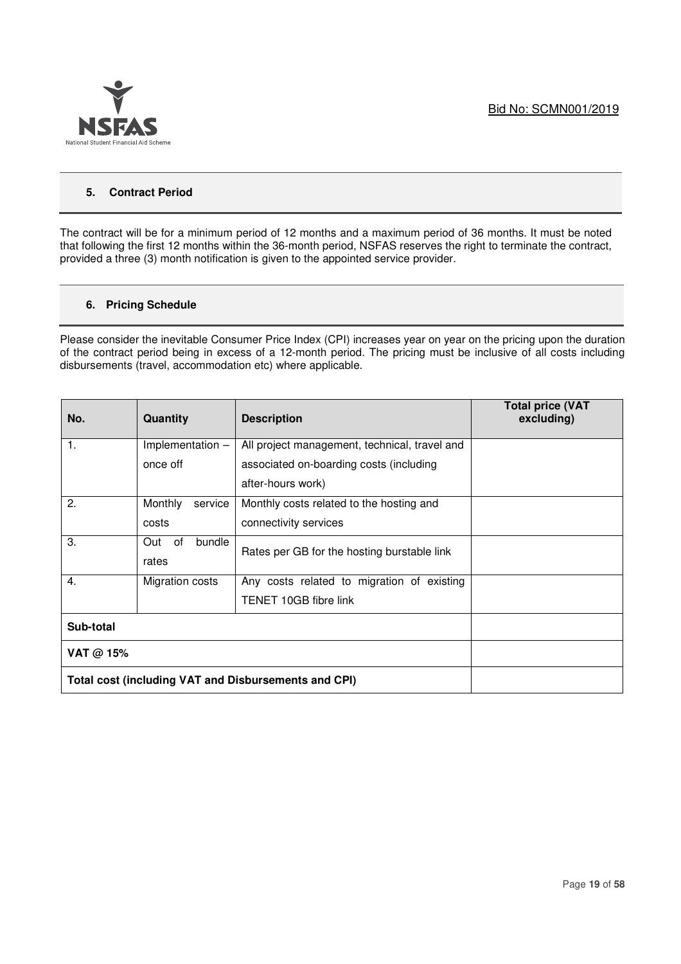

## **5. Contract Period**

The contract will be for a minimum period of 12 months and a maximum period of 36 months. It must be noted that following the first 12 months within the 36-month period, NSFAS reserves the right to terminate the contract, provided a three (3) month notification is given to the appointed service provider.

## **6. Pricing Schedule**

Please consider the inevitable Consumer Price Index (CPI) increases year on year on the pricing upon the duration of the contract period being in excess of a 12-month period. The pricing must be inclusive of all costs including disbursements (travel, accommodation etc) where applicable.

| No.       | Quantity            | <b>Description</b>                                   | <b>Total price (VAT</b><br>excluding) |
|-----------|---------------------|------------------------------------------------------|---------------------------------------|
| 1.        | Implementation -    | All project management, technical, travel and        |                                       |
|           | once off            | associated on-boarding costs (including              |                                       |
|           |                     | after-hours work)                                    |                                       |
| 2.        | Monthly<br>service  | Monthly costs related to the hosting and             |                                       |
|           | costs               | connectivity services                                |                                       |
| 3.        | of<br>bundle<br>Out | Rates per GB for the hosting burstable link          |                                       |
|           | rates               |                                                      |                                       |
| 4.        | Migration costs     | Any costs related to migration of existing           |                                       |
|           |                     | TENET 10GB fibre link                                |                                       |
| Sub-total |                     |                                                      |                                       |
| VAT @ 15% |                     |                                                      |                                       |
|           |                     | Total cost (including VAT and Disbursements and CPI) |                                       |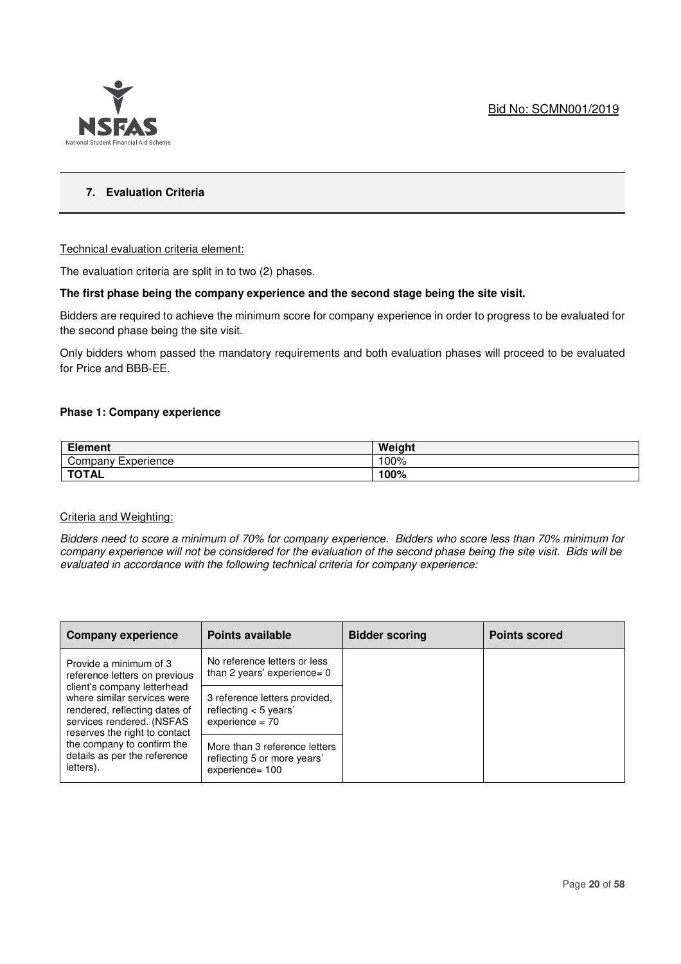

## **7. Evaluation Criteria**

## Technical evaluation criteria element:

The evaluation criteria are split in to two (2) phases.

## **The first phase being the company experience and the second stage being the site visit.**

Bidders are required to achieve the minimum score for company experience in order to progress to be evaluated for the second phase being the site visit.

Only bidders whom passed the mandatory requirements and both evaluation phases will proceed to be evaluated for Price and BBB-EE.

#### **Phase 1: Company experience**

| ---<br>Element        | Weight |
|-----------------------|--------|
| Company<br>Experience | 100%   |
| <b>TOTAL</b>          | 100%   |

#### Criteria and Weighting:

*Bidders need to score a minimum of 70% for company experience. Bidders who score less than 70% minimum for company experience will not be considered for the evaluation of the second phase being the site visit. Bids will be evaluated in accordance with the following technical criteria for company experience:* 

| <b>Company experience</b>                                                                                                                                 | <b>Points available</b>                                                         | <b>Bidder scoring</b> | <b>Points scored</b> |
|-----------------------------------------------------------------------------------------------------------------------------------------------------------|---------------------------------------------------------------------------------|-----------------------|----------------------|
| Provide a minimum of 3<br>reference letters on previous                                                                                                   | No reference letters or less<br>than 2 years' experience= $0$                   |                       |                      |
| client's company letterhead<br>where similar services were<br>rendered, reflecting dates of<br>services rendered. (NSFAS<br>reserves the right to contact | 3 reference letters provided,<br>reflecting $<$ 5 years'<br>$experience = 70$   |                       |                      |
| the company to confirm the<br>details as per the reference<br>letters).                                                                                   | More than 3 reference letters<br>reflecting 5 or more years'<br>experience= 100 |                       |                      |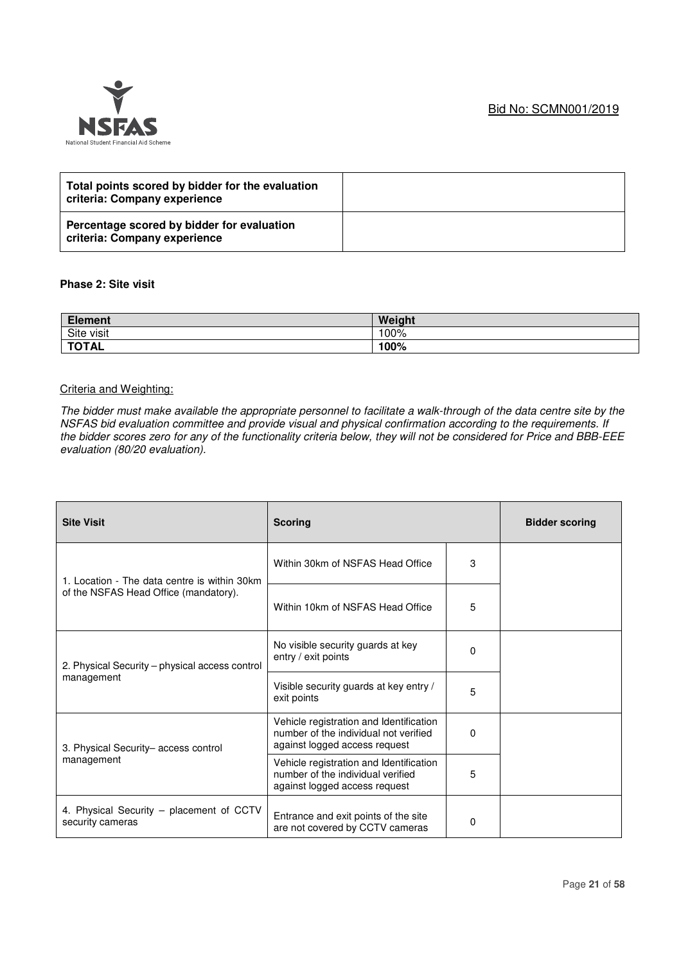## Bid No: SCMN001/2019



| Total points scored by bidder for the evaluation<br>criteria: Company experience |  |
|----------------------------------------------------------------------------------|--|
| Percentage scored by bidder for evaluation<br>criteria: Company experience       |  |

## **Phase 2: Site visit**

| <b>Element</b> | Weight |
|----------------|--------|
| Site visit     | 100%   |
| <b>TOTAL</b>   | 100%   |

## Criteria and Weighting:

*The bidder must make available the appropriate personnel to facilitate a walk-through of the data centre site by the NSFAS bid evaluation committee and provide visual and physical confirmation according to the requirements. If the bidder scores zero for any of the functionality criteria below, they will not be considered for Price and BBB-EEE evaluation (80/20 evaluation).* 

| <b>Site Visit</b>                                            | <b>Scoring</b>                                                                                                    |   | <b>Bidder scoring</b> |
|--------------------------------------------------------------|-------------------------------------------------------------------------------------------------------------------|---|-----------------------|
| 1. Location - The data centre is within 30km                 | Within 30km of NSFAS Head Office                                                                                  | 3 |                       |
| of the NSFAS Head Office (mandatory).                        | Within 10km of NSFAS Head Office                                                                                  | 5 |                       |
| 2. Physical Security – physical access control               | No visible security guards at key<br>entry / exit points                                                          | 0 |                       |
| management                                                   | Visible security guards at key entry /<br>exit points                                                             | 5 |                       |
| 3. Physical Security- access control                         | Vehicle registration and Identification<br>number of the individual not verified<br>against logged access request | 0 |                       |
| management                                                   | Vehicle registration and Identification<br>number of the individual verified<br>against logged access request     | 5 |                       |
| 4. Physical Security – placement of CCTV<br>security cameras | Entrance and exit points of the site<br>are not covered by CCTV cameras                                           | 0 |                       |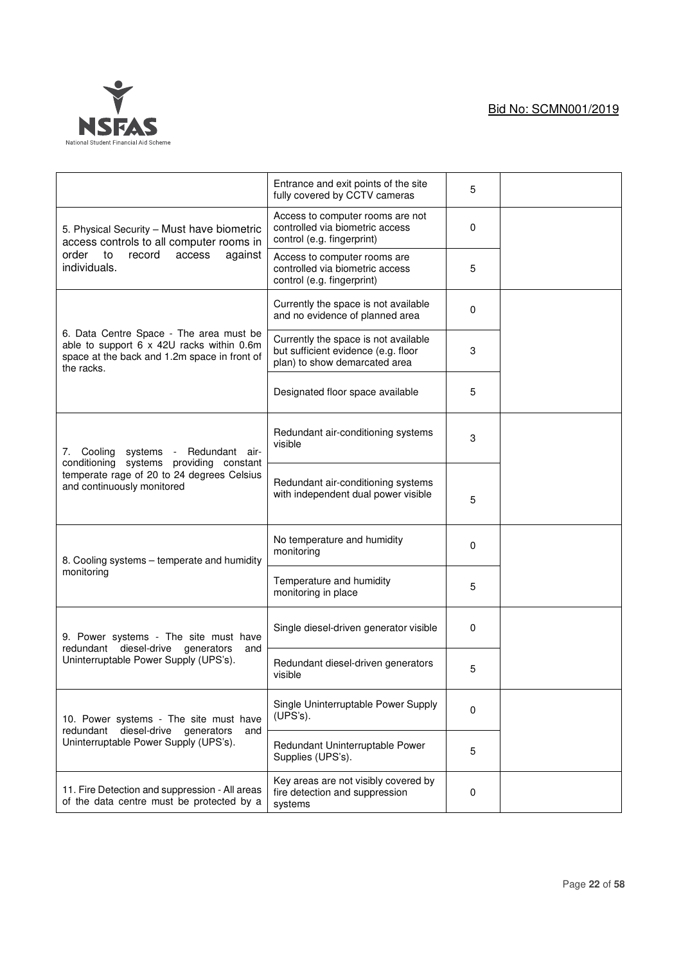

|                                                                                                                                                    | Entrance and exit points of the site<br>fully covered by CCTV cameras                                        | 5 |  |
|----------------------------------------------------------------------------------------------------------------------------------------------------|--------------------------------------------------------------------------------------------------------------|---|--|
| 5. Physical Security - Must have biometric<br>access controls to all computer rooms in                                                             | Access to computer rooms are not<br>controlled via biometric access<br>control (e.g. fingerprint)            | 0 |  |
| order to<br>record<br>access<br>against<br>individuals.                                                                                            | Access to computer rooms are<br>controlled via biometric access<br>control (e.g. fingerprint)                | 5 |  |
|                                                                                                                                                    | Currently the space is not available<br>and no evidence of planned area                                      | 0 |  |
| 6. Data Centre Space - The area must be<br>able to support 6 x 42U racks within 0.6m<br>space at the back and 1.2m space in front of<br>the racks. | Currently the space is not available<br>but sufficient evidence (e.g. floor<br>plan) to show demarcated area | 3 |  |
|                                                                                                                                                    | Designated floor space available                                                                             | 5 |  |
| 7. Cooling systems<br>Redundant air-<br>$\sim$                                                                                                     | Redundant air-conditioning systems<br>visible                                                                | 3 |  |
| conditioning systems providing constant<br>temperate rage of 20 to 24 degrees Celsius<br>and continuously monitored                                | Redundant air-conditioning systems<br>with independent dual power visible                                    | 5 |  |
| 8. Cooling systems - temperate and humidity                                                                                                        | No temperature and humidity<br>monitoring                                                                    | 0 |  |
| monitoring                                                                                                                                         | Temperature and humidity<br>monitoring in place                                                              | 5 |  |
| 9. Power systems - The site must have<br>redundant diesel-drive<br>generators<br>and                                                               | Single diesel-driven generator visible                                                                       | 0 |  |
| Uninterruptable Power Supply (UPS's).                                                                                                              | Redundant diesel-driven generators<br>visible                                                                | 5 |  |
| 10. Power systems - The site must have<br>diesel-drive<br>redundant                                                                                | Single Uninterruptable Power Supply<br>(UPS's).                                                              | 0 |  |
| generators<br>and<br>Uninterruptable Power Supply (UPS's).                                                                                         | Redundant Uninterruptable Power<br>Supplies (UPS's).                                                         | 5 |  |
| 11. Fire Detection and suppression - All areas<br>of the data centre must be protected by a                                                        | Key areas are not visibly covered by<br>fire detection and suppression<br>systems                            | 0 |  |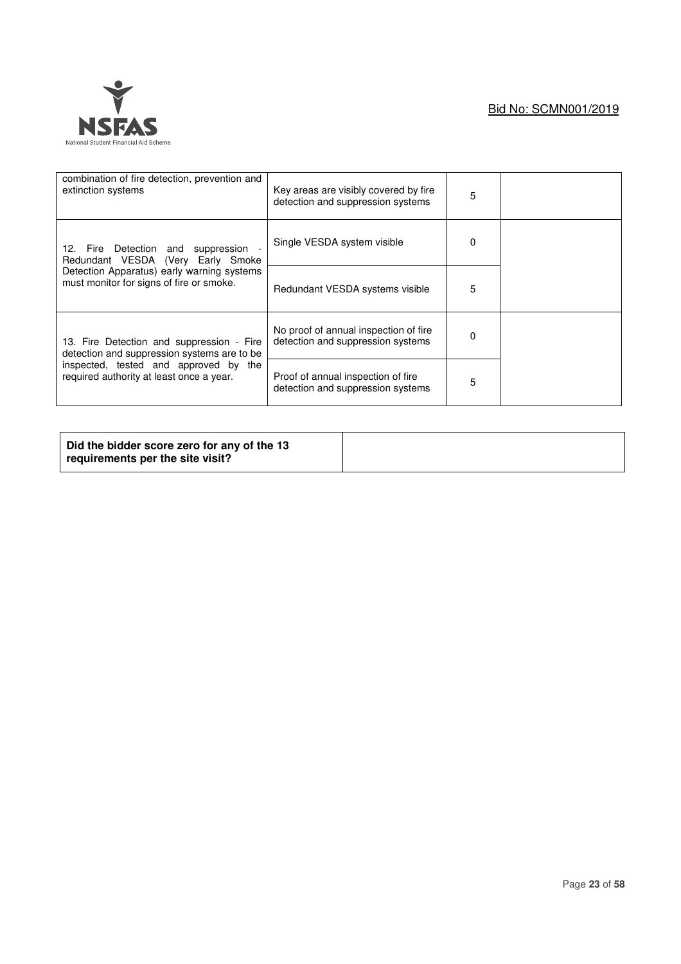| combination of fire detection, prevention and<br>extinction systems                      | Key areas are visibly covered by fire<br>detection and suppression systems | 5 |  |
|------------------------------------------------------------------------------------------|----------------------------------------------------------------------------|---|--|
| 12. Fire Detection and suppression<br>Redundant VESDA (Very Early Smoke                  | Single VESDA system visible                                                |   |  |
| Detection Apparatus) early warning systems<br>must monitor for signs of fire or smoke.   | Redundant VESDA systems visible                                            | 5 |  |
| 13. Fire Detection and suppression - Fire<br>detection and suppression systems are to be | No proof of annual inspection of fire<br>detection and suppression systems | 0 |  |
| inspected, tested and approved by the<br>required authority at least once a year.        | Proof of annual inspection of fire<br>detection and suppression systems    | 5 |  |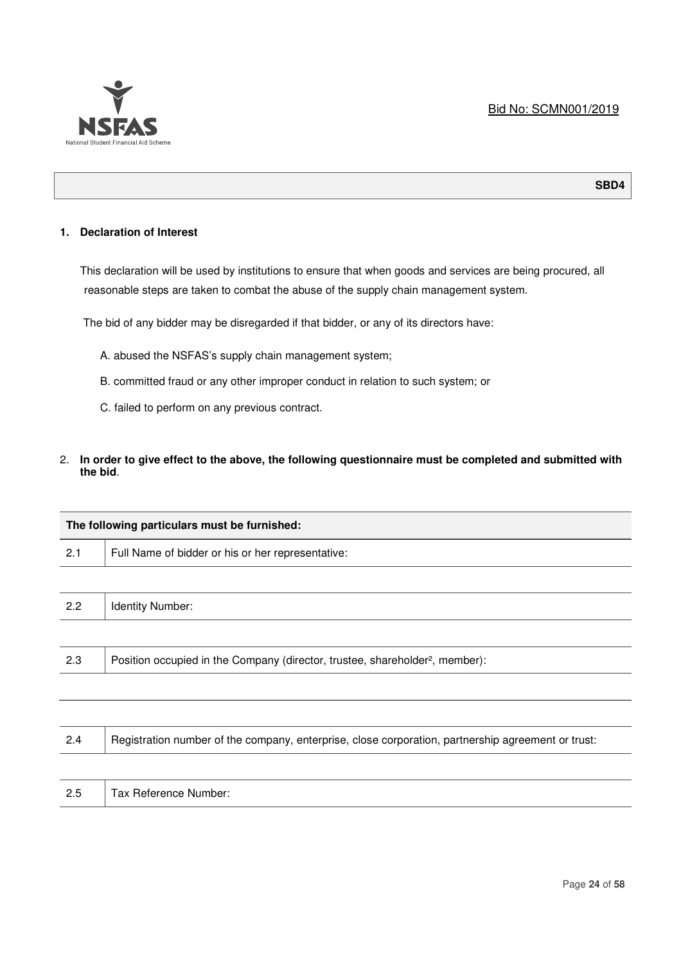

## **SBD4**

## **1. Declaration of Interest**

This declaration will be used by institutions to ensure that when goods and services are being procured, all reasonable steps are taken to combat the abuse of the supply chain management system.

The bid of any bidder may be disregarded if that bidder, or any of its directors have:

- A. abused the NSFAS's supply chain management system;
- B. committed fraud or any other improper conduct in relation to such system; or
- C. failed to perform on any previous contract.
- 2. **In order to give effect to the above, the following questionnaire must be completed and submitted with the bid**.

|     | The following particulars must be furnished:                                                       |
|-----|----------------------------------------------------------------------------------------------------|
| 2.1 | Full Name of bidder or his or her representative:                                                  |
|     |                                                                                                    |
| 2.2 | Identity Number:                                                                                   |
|     |                                                                                                    |
| 2.3 | Position occupied in the Company (director, trustee, shareholder <sup>2</sup> , member):           |
|     |                                                                                                    |
|     |                                                                                                    |
| 2.4 | Registration number of the company, enterprise, close corporation, partnership agreement or trust: |
|     |                                                                                                    |
| 2.5 | Tax Reference Number:                                                                              |
|     |                                                                                                    |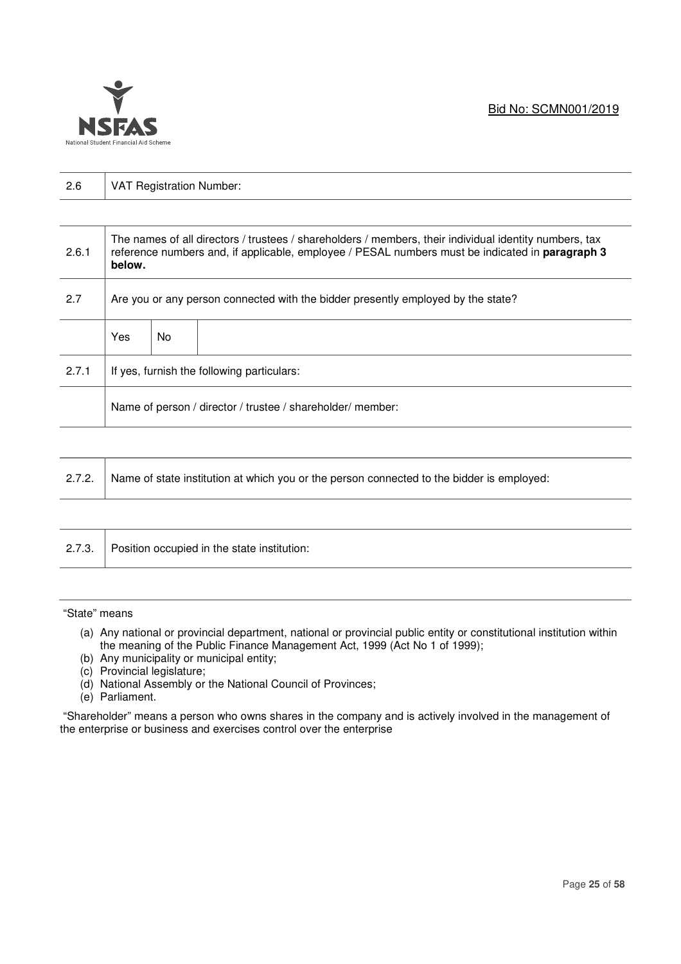

| 2.6   | <b>VAT Registration Number:</b>                                                  |     |                                                                                                                                                                                                           |  |
|-------|----------------------------------------------------------------------------------|-----|-----------------------------------------------------------------------------------------------------------------------------------------------------------------------------------------------------------|--|
|       |                                                                                  |     |                                                                                                                                                                                                           |  |
| 2.6.1 | below.                                                                           |     | The names of all directors / trustees / shareholders / members, their individual identity numbers, tax<br>reference numbers and, if applicable, employee / PESAL numbers must be indicated in paragraph 3 |  |
| 2.7   | Are you or any person connected with the bidder presently employed by the state? |     |                                                                                                                                                                                                           |  |
|       | Yes                                                                              | No. |                                                                                                                                                                                                           |  |
| 2.7.1 | If yes, furnish the following particulars:                                       |     |                                                                                                                                                                                                           |  |
|       | Name of person / director / trustee / shareholder/ member:                       |     |                                                                                                                                                                                                           |  |

| 2.7.2. Name of state institution at which you or the person connected to the bidder is employed: |
|--------------------------------------------------------------------------------------------------|
|--------------------------------------------------------------------------------------------------|

| Position occupied in the state institution:<br>2.7.3. |
|-------------------------------------------------------|
|-------------------------------------------------------|

"State" means

- (a) Any national or provincial department, national or provincial public entity or constitutional institution within the meaning of the Public Finance Management Act, 1999 (Act No 1 of 1999);
- (b) Any municipality or municipal entity;
- (c) Provincial legislature;
- (d) National Assembly or the National Council of Provinces;
- (e) Parliament.

 "Shareholder" means a person who owns shares in the company and is actively involved in the management of the enterprise or business and exercises control over the enterprise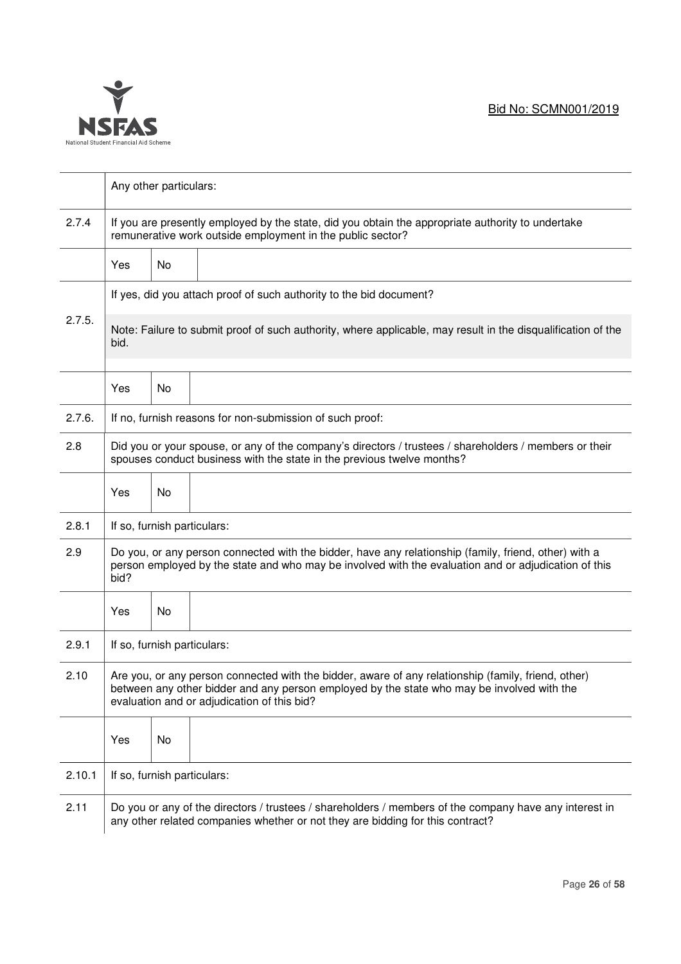

|        | Any other particulars:                                                                                                                                                                                                                           |                             |                                                          |  |  |
|--------|--------------------------------------------------------------------------------------------------------------------------------------------------------------------------------------------------------------------------------------------------|-----------------------------|----------------------------------------------------------|--|--|
| 2.7.4  | If you are presently employed by the state, did you obtain the appropriate authority to undertake<br>remunerative work outside employment in the public sector?                                                                                  |                             |                                                          |  |  |
|        | Yes                                                                                                                                                                                                                                              | No                          |                                                          |  |  |
|        | If yes, did you attach proof of such authority to the bid document?                                                                                                                                                                              |                             |                                                          |  |  |
| 2.7.5. | Note: Failure to submit proof of such authority, where applicable, may result in the disqualification of the<br>bid.                                                                                                                             |                             |                                                          |  |  |
|        | Yes                                                                                                                                                                                                                                              | No                          |                                                          |  |  |
| 2.7.6. |                                                                                                                                                                                                                                                  |                             | If no, furnish reasons for non-submission of such proof: |  |  |
| 2.8    | Did you or your spouse, or any of the company's directors / trustees / shareholders / members or their<br>spouses conduct business with the state in the previous twelve months?                                                                 |                             |                                                          |  |  |
|        | Yes                                                                                                                                                                                                                                              | No                          |                                                          |  |  |
| 2.8.1  | If so, furnish particulars:                                                                                                                                                                                                                      |                             |                                                          |  |  |
| 2.9    | Do you, or any person connected with the bidder, have any relationship (family, friend, other) with a<br>person employed by the state and who may be involved with the evaluation and or adjudication of this<br>bid?                            |                             |                                                          |  |  |
|        | Yes                                                                                                                                                                                                                                              | No                          |                                                          |  |  |
| 2.9.1  | If so, furnish particulars:                                                                                                                                                                                                                      |                             |                                                          |  |  |
| 2.10   | Are you, or any person connected with the bidder, aware of any relationship (family, friend, other)<br>between any other bidder and any person employed by the state who may be involved with the<br>evaluation and or adjudication of this bid? |                             |                                                          |  |  |
|        | Yes                                                                                                                                                                                                                                              | No                          |                                                          |  |  |
| 2.10.1 |                                                                                                                                                                                                                                                  | If so, furnish particulars: |                                                          |  |  |
| 2.11   | Do you or any of the directors / trustees / shareholders / members of the company have any interest in<br>any other related companies whether or not they are bidding for this contract?                                                         |                             |                                                          |  |  |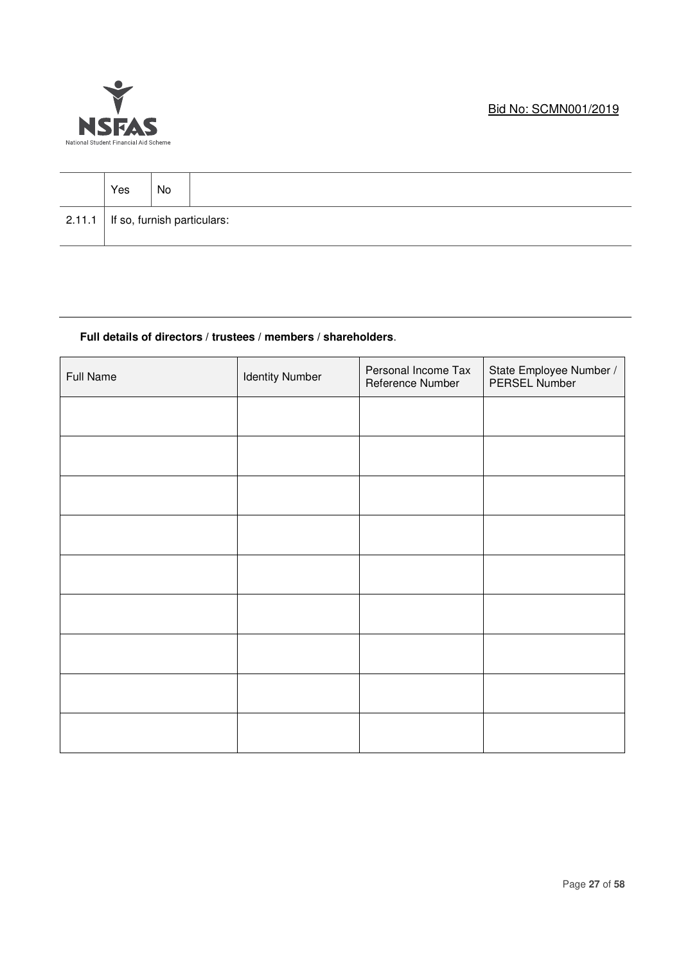

| Yes                                    | No |  |
|----------------------------------------|----|--|
| $2.11.1$   If so, furnish particulars: |    |  |

## **Full details of directors / trustees / members / shareholders**.

| <b>Full Name</b> | <b>Identity Number</b> | Personal Income Tax<br>Reference Number | State Employee Number /<br>PERSEL Number |
|------------------|------------------------|-----------------------------------------|------------------------------------------|
|                  |                        |                                         |                                          |
|                  |                        |                                         |                                          |
|                  |                        |                                         |                                          |
|                  |                        |                                         |                                          |
|                  |                        |                                         |                                          |
|                  |                        |                                         |                                          |
|                  |                        |                                         |                                          |
|                  |                        |                                         |                                          |
|                  |                        |                                         |                                          |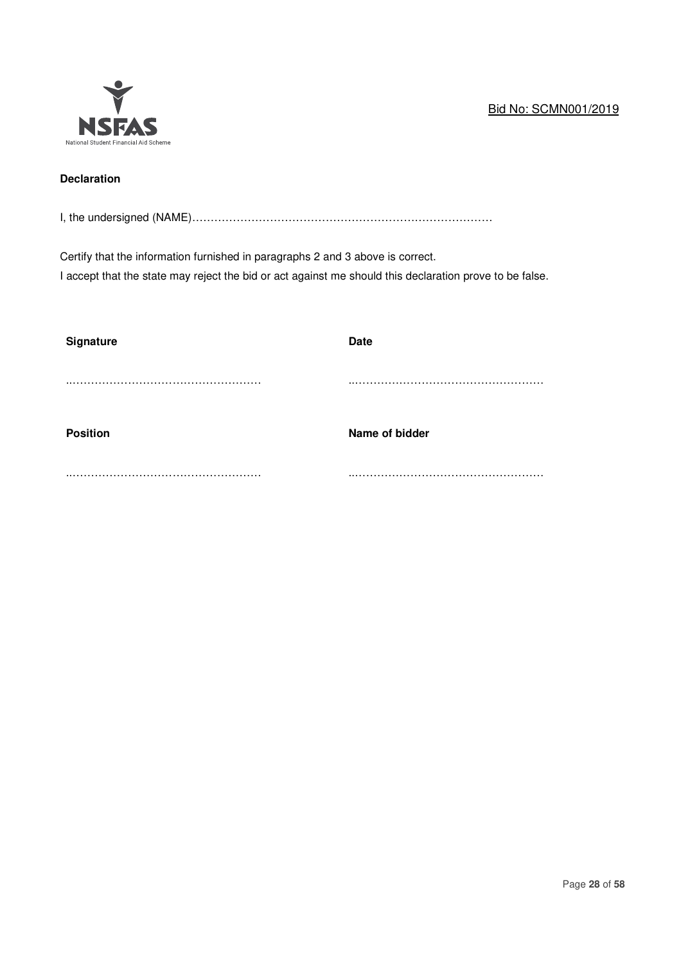# Bid No: SCMN001/2019



# **Declaration**

I, the undersigned (NAME)………………………………………………………………………

Certify that the information furnished in paragraphs 2 and 3 above is correct. I accept that the state may reject the bid or act against me should this declaration prove to be false.

| <b>Signature</b> | <b>Date</b>    |
|------------------|----------------|
|                  |                |
| <b>Position</b>  | Name of bidder |
|                  |                |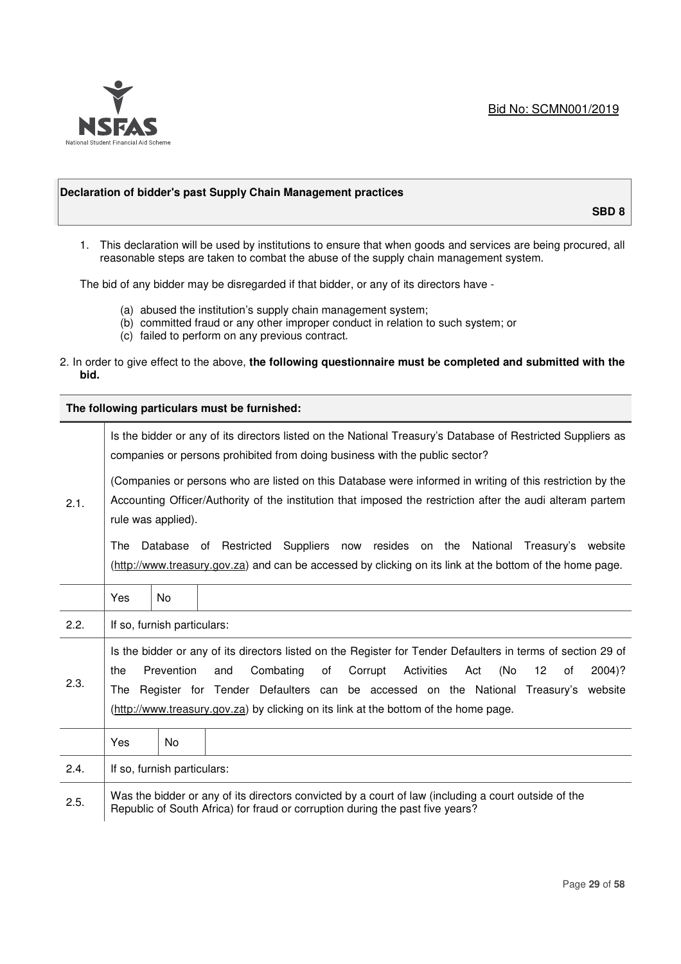

## **Declaration of bidder's past Supply Chain Management practices**

**SBD 8** 

1. This declaration will be used by institutions to ensure that when goods and services are being procured, all reasonable steps are taken to combat the abuse of the supply chain management system.

The bid of any bidder may be disregarded if that bidder, or any of its directors have -

- (a) abused the institution's supply chain management system;
- (b) committed fraud or any other improper conduct in relation to such system; or
- (c) failed to perform on any previous contract.
- 2. In order to give effect to the above, **the following questionnaire must be completed and submitted with the bid.**

**The following particulars must be furnished:** 

|      | Is the bidder or any of its directors listed on the National Treasury's Database of Restricted Suppliers as<br>companies or persons prohibited from doing business with the public sector?                                                                                                                                                                                                                                                          |     |  |  |  |
|------|-----------------------------------------------------------------------------------------------------------------------------------------------------------------------------------------------------------------------------------------------------------------------------------------------------------------------------------------------------------------------------------------------------------------------------------------------------|-----|--|--|--|
| 2.1. | (Companies or persons who are listed on this Database were informed in writing of this restriction by the<br>Accounting Officer/Authority of the institution that imposed the restriction after the audi alteram partem<br>rule was applied).<br>Database of Restricted Suppliers now resides on the National Treasury's website<br>The<br>(http://www.treasury.gov.za) and can be accessed by clicking on its link at the bottom of the home page. |     |  |  |  |
|      | Yes                                                                                                                                                                                                                                                                                                                                                                                                                                                 | No  |  |  |  |
| 2.2. | If so, furnish particulars:                                                                                                                                                                                                                                                                                                                                                                                                                         |     |  |  |  |
| 2.3. | Is the bidder or any of its directors listed on the Register for Tender Defaulters in terms of section 29 of<br>Prevention<br>Corrupt<br>Activities<br>(No<br>the<br>and<br>Combating<br>of<br>Act<br>12<br>$2004$ ?<br>0f<br>Register for Tender Defaulters can be accessed on the National Treasury's website<br>The<br>(http://www.treasury.gov.za) by clicking on its link at the bottom of the home page.                                      |     |  |  |  |
|      | Yes                                                                                                                                                                                                                                                                                                                                                                                                                                                 | No. |  |  |  |
| 2.4. | If so, furnish particulars:                                                                                                                                                                                                                                                                                                                                                                                                                         |     |  |  |  |
| 2.5. | Was the bidder or any of its directors convicted by a court of law (including a court outside of the<br>Republic of South Africa) for fraud or corruption during the past five years?                                                                                                                                                                                                                                                               |     |  |  |  |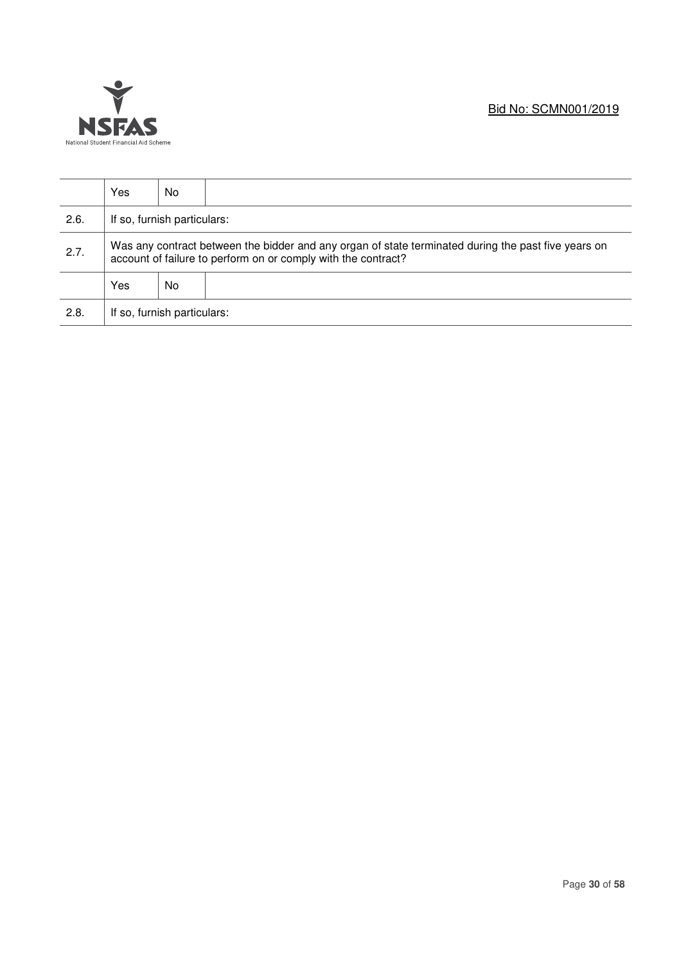

|      | Yes                                                                                                                                                                  | No                          |  |  |  |
|------|----------------------------------------------------------------------------------------------------------------------------------------------------------------------|-----------------------------|--|--|--|
| 2.6. |                                                                                                                                                                      | If so, furnish particulars: |  |  |  |
| 2.7. | Was any contract between the bidder and any organ of state terminated during the past five years on<br>account of failure to perform on or comply with the contract? |                             |  |  |  |
|      | Yes                                                                                                                                                                  | No                          |  |  |  |
| 2.8. | If so, furnish particulars:                                                                                                                                          |                             |  |  |  |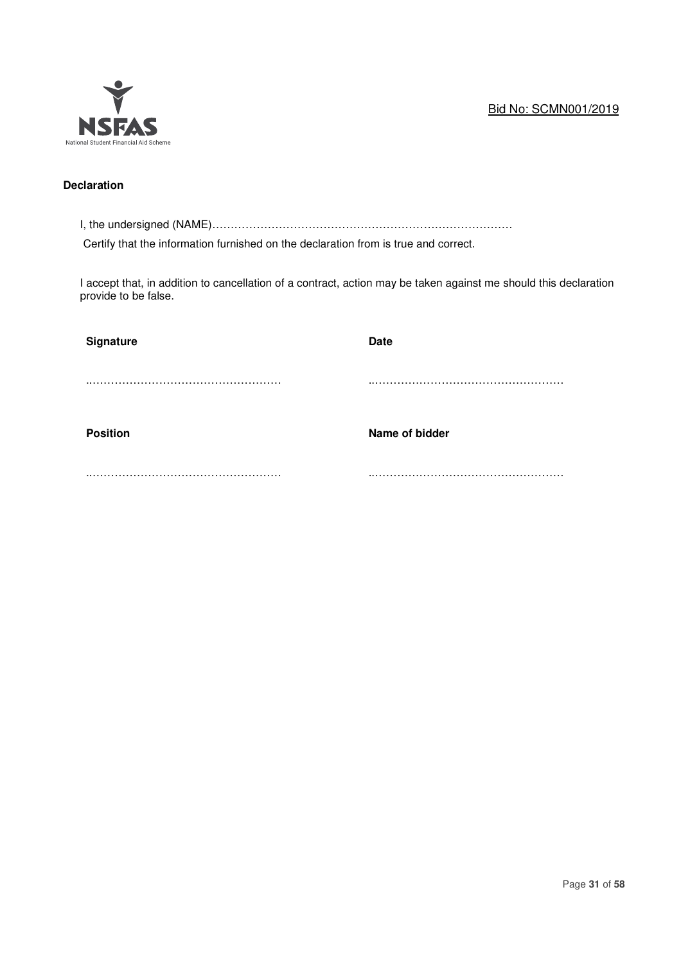# Bid No: SCMN001/2019



# **Declaration**

I, the undersigned (NAME)………………………………………………………………………

Certify that the information furnished on the declaration from is true and correct.

I accept that, in addition to cancellation of a contract, action may be taken against me should this declaration provide to be false.

| <b>Signature</b> | <b>Date</b>    |
|------------------|----------------|
|                  |                |
| <b>Position</b>  | Name of bidder |
|                  |                |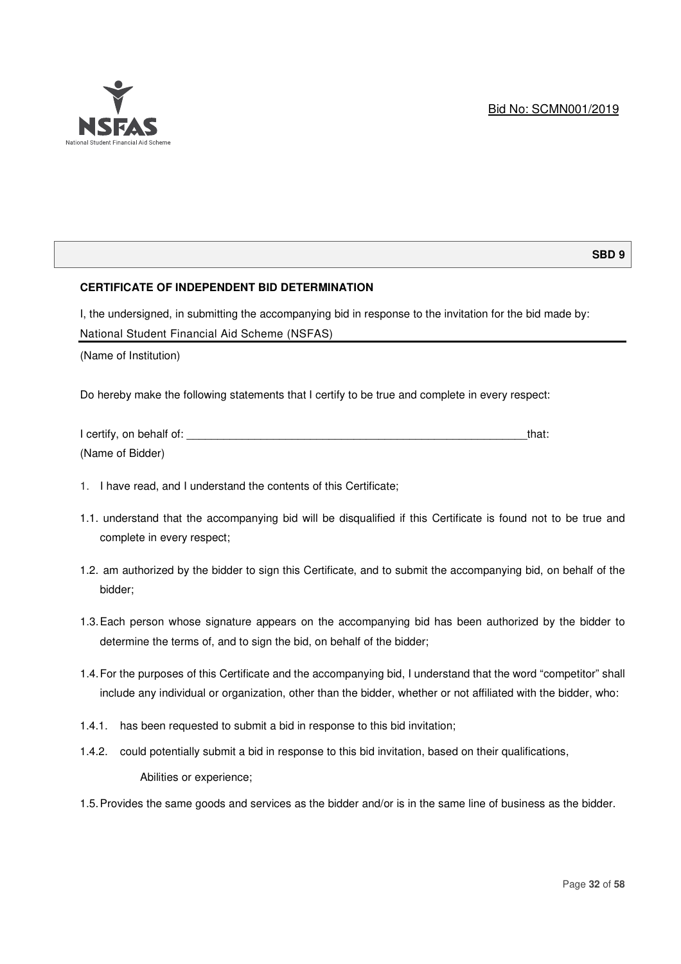

#### **SBD 9**

## **CERTIFICATE OF INDEPENDENT BID DETERMINATION**

I, the undersigned, in submitting the accompanying bid in response to the invitation for the bid made by: National Student Financial Aid Scheme (NSFAS)

(Name of Institution)

Do hereby make the following statements that I certify to be true and complete in every respect:

| I certify, on behalf of: | that: |
|--------------------------|-------|
| (Name of Bidder)         |       |

- 1. I have read, and I understand the contents of this Certificate;
- 1.1. understand that the accompanying bid will be disqualified if this Certificate is found not to be true and complete in every respect;
- 1.2. am authorized by the bidder to sign this Certificate, and to submit the accompanying bid, on behalf of the bidder;
- 1.3. Each person whose signature appears on the accompanying bid has been authorized by the bidder to determine the terms of, and to sign the bid, on behalf of the bidder;
- 1.4. For the purposes of this Certificate and the accompanying bid, I understand that the word "competitor" shall include any individual or organization, other than the bidder, whether or not affiliated with the bidder, who:
- 1.4.1. has been requested to submit a bid in response to this bid invitation;
- 1.4.2. could potentially submit a bid in response to this bid invitation, based on their qualifications, Abilities or experience;
- 1.5. Provides the same goods and services as the bidder and/or is in the same line of business as the bidder.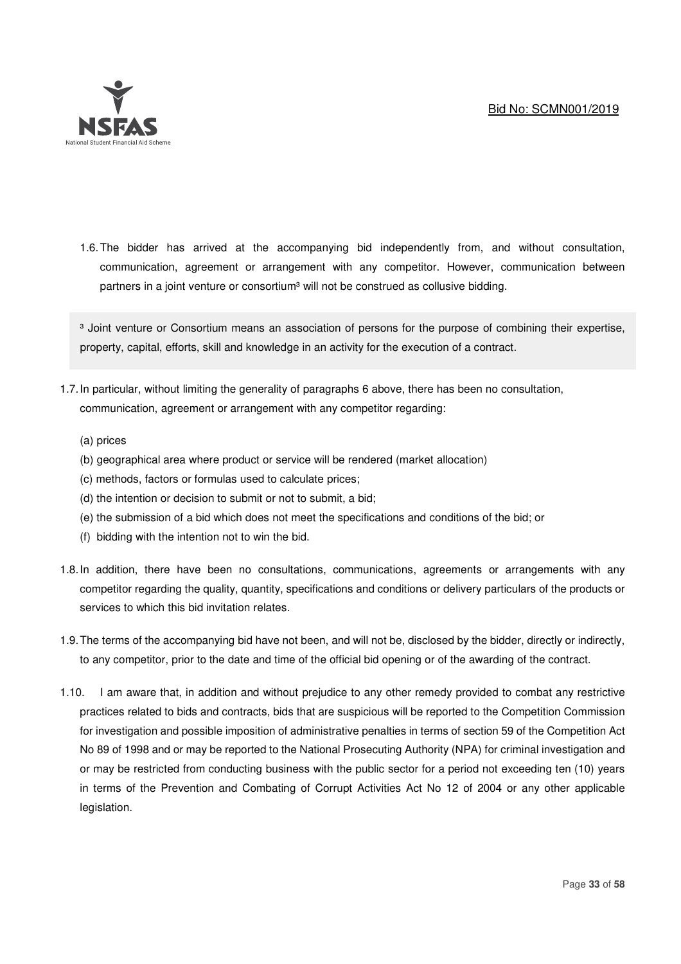

1.6. The bidder has arrived at the accompanying bid independently from, and without consultation, communication, agreement or arrangement with any competitor. However, communication between partners in a joint venture or consortium<sup>3</sup> will not be construed as collusive bidding.

<sup>3</sup> Joint venture or Consortium means an association of persons for the purpose of combining their expertise, property, capital, efforts, skill and knowledge in an activity for the execution of a contract.

- 1.7. In particular, without limiting the generality of paragraphs 6 above, there has been no consultation, communication, agreement or arrangement with any competitor regarding:
	- (a) prices
	- (b) geographical area where product or service will be rendered (market allocation)
	- (c) methods, factors or formulas used to calculate prices;
	- (d) the intention or decision to submit or not to submit, a bid;
	- (e) the submission of a bid which does not meet the specifications and conditions of the bid; or
	- (f) bidding with the intention not to win the bid.
- 1.8. In addition, there have been no consultations, communications, agreements or arrangements with any competitor regarding the quality, quantity, specifications and conditions or delivery particulars of the products or services to which this bid invitation relates.
- 1.9. The terms of the accompanying bid have not been, and will not be, disclosed by the bidder, directly or indirectly, to any competitor, prior to the date and time of the official bid opening or of the awarding of the contract.
- 1.10. I am aware that, in addition and without prejudice to any other remedy provided to combat any restrictive practices related to bids and contracts, bids that are suspicious will be reported to the Competition Commission for investigation and possible imposition of administrative penalties in terms of section 59 of the Competition Act No 89 of 1998 and or may be reported to the National Prosecuting Authority (NPA) for criminal investigation and or may be restricted from conducting business with the public sector for a period not exceeding ten (10) years in terms of the Prevention and Combating of Corrupt Activities Act No 12 of 2004 or any other applicable legislation.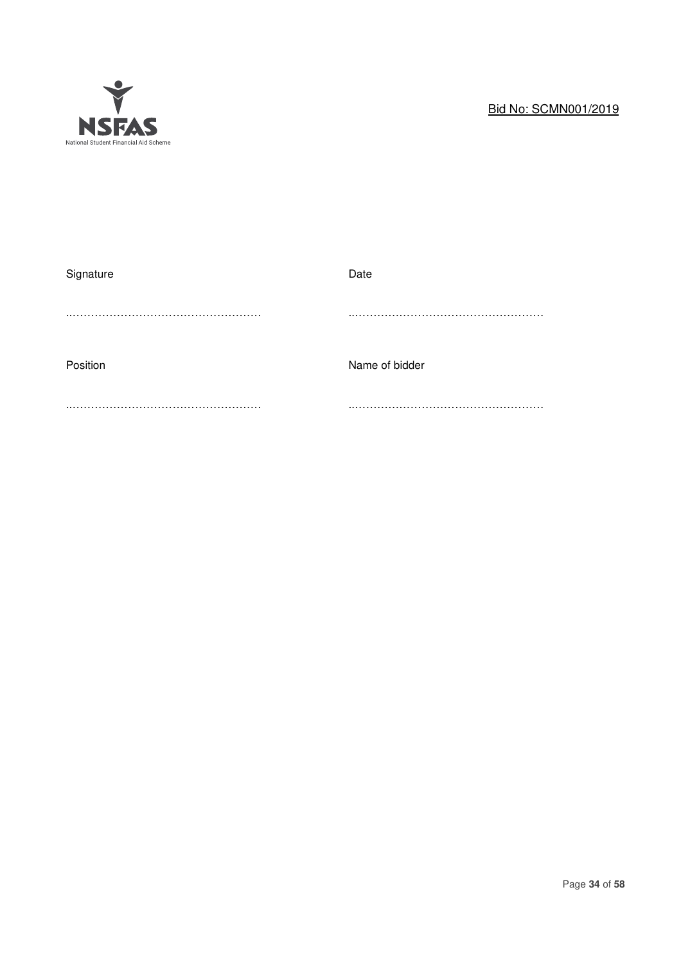

# Bid No: SCMN001/2019

| Signature | Date           |
|-----------|----------------|
|           |                |
| Position  | Name of bidder |
|           |                |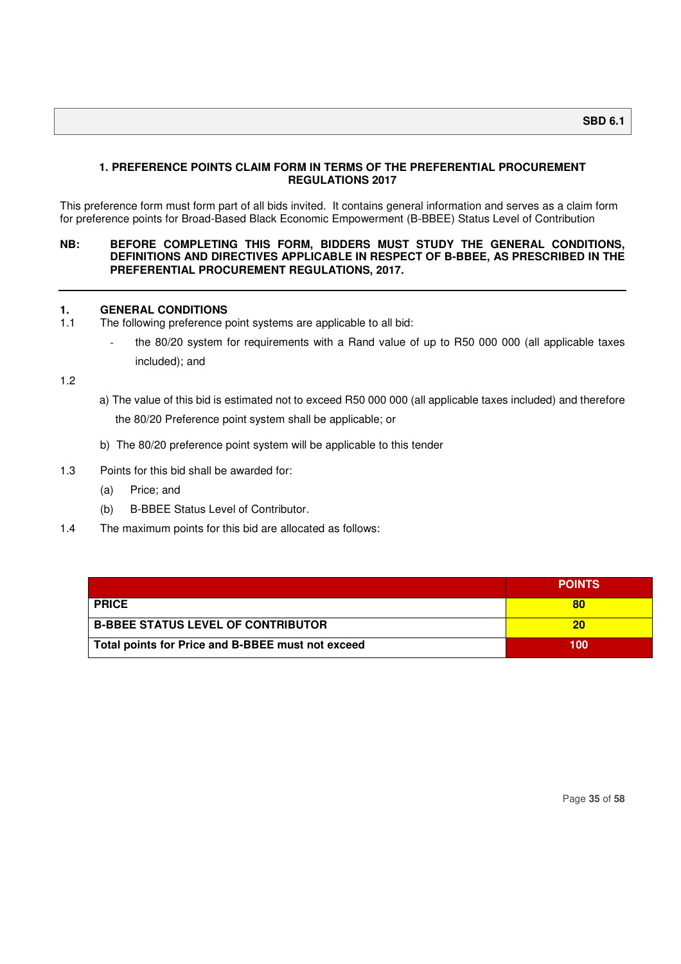#### **1. PREFERENCE POINTS CLAIM FORM IN TERMS OF THE PREFERENTIAL PROCUREMENT REGULATIONS 2017**

This preference form must form part of all bids invited. It contains general information and serves as a claim form for preference points for Broad-Based Black Economic Empowerment (B-BBEE) Status Level of Contribution

#### **NB: BEFORE COMPLETING THIS FORM, BIDDERS MUST STUDY THE GENERAL CONDITIONS, DEFINITIONS AND DIRECTIVES APPLICABLE IN RESPECT OF B-BBEE, AS PRESCRIBED IN THE PREFERENTIAL PROCUREMENT REGULATIONS, 2017.**

# **1. GENERAL CONDITIONS**<br>**1.1** The following preference **p**

- The following preference point systems are applicable to all bid:
	- the 80/20 system for requirements with a Rand value of up to R50 000 000 (all applicable taxes included); and

1.2

- a) The value of this bid is estimated not to exceed R50 000 000 (all applicable taxes included) and therefore the 80/20 Preference point system shall be applicable; or
- b) The 80/20 preference point system will be applicable to this tender

#### 1.3 Points for this bid shall be awarded for:

- (a) Price; and
- (b) B-BBEE Status Level of Contributor.
- 1.4 The maximum points for this bid are allocated as follows:

|                                                   | <b>POINTS</b> |
|---------------------------------------------------|---------------|
| <b>PRICE</b>                                      | 80            |
| <b>B-BBEE STATUS LEVEL OF CONTRIBUTOR</b>         | 20            |
| Total points for Price and B-BBEE must not exceed | 100           |

Page **35** of **58**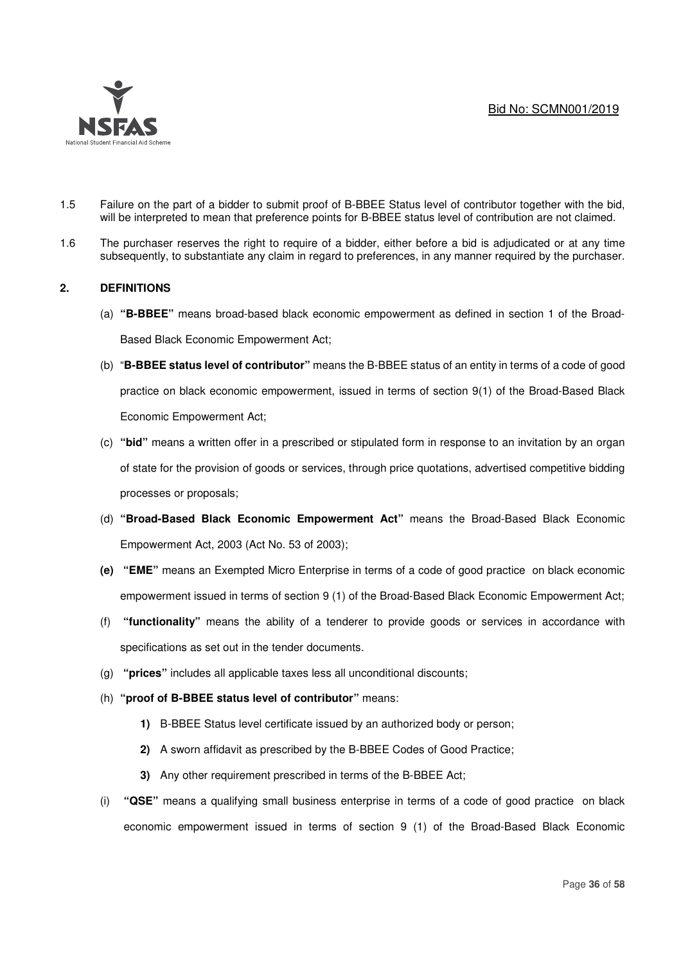

- 1.5 Failure on the part of a bidder to submit proof of B-BBEE Status level of contributor together with the bid, will be interpreted to mean that preference points for B-BBEE status level of contribution are not claimed.
- 1.6 The purchaser reserves the right to require of a bidder, either before a bid is adjudicated or at any time subsequently, to substantiate any claim in regard to preferences, in any manner required by the purchaser.

## **2. DEFINITIONS**

- (a) **"B-BBEE"** means broad-based black economic empowerment as defined in section 1 of the Broad-Based Black Economic Empowerment Act;
- (b) "**B-BBEE status level of contributor"** means the B-BBEE status of an entity in terms of a code of good practice on black economic empowerment, issued in terms of section 9(1) of the Broad-Based Black Economic Empowerment Act;
- (c) **"bid"** means a written offer in a prescribed or stipulated form in response to an invitation by an organ of state for the provision of goods or services, through price quotations, advertised competitive bidding processes or proposals;
- (d) **"Broad-Based Black Economic Empowerment Act"** means the Broad-Based Black Economic Empowerment Act, 2003 (Act No. 53 of 2003);
- **(e) "EME"** means an Exempted Micro Enterprise in terms of a code of good practice on black economic empowerment issued in terms of section 9 (1) of the Broad-Based Black Economic Empowerment Act;
- (f) **"functionality"** means the ability of a tenderer to provide goods or services in accordance with specifications as set out in the tender documents.
- (g) **"prices"** includes all applicable taxes less all unconditional discounts;
- (h) **"proof of B-BBEE status level of contributor"** means:
	- **1)** B-BBEE Status level certificate issued by an authorized body or person;
	- **2)** A sworn affidavit as prescribed by the B-BBEE Codes of Good Practice;
	- **3)** Any other requirement prescribed in terms of the B-BBEE Act;
- (i) **"QSE"** means a qualifying small business enterprise in terms of a code of good practice on black economic empowerment issued in terms of section 9 (1) of the Broad-Based Black Economic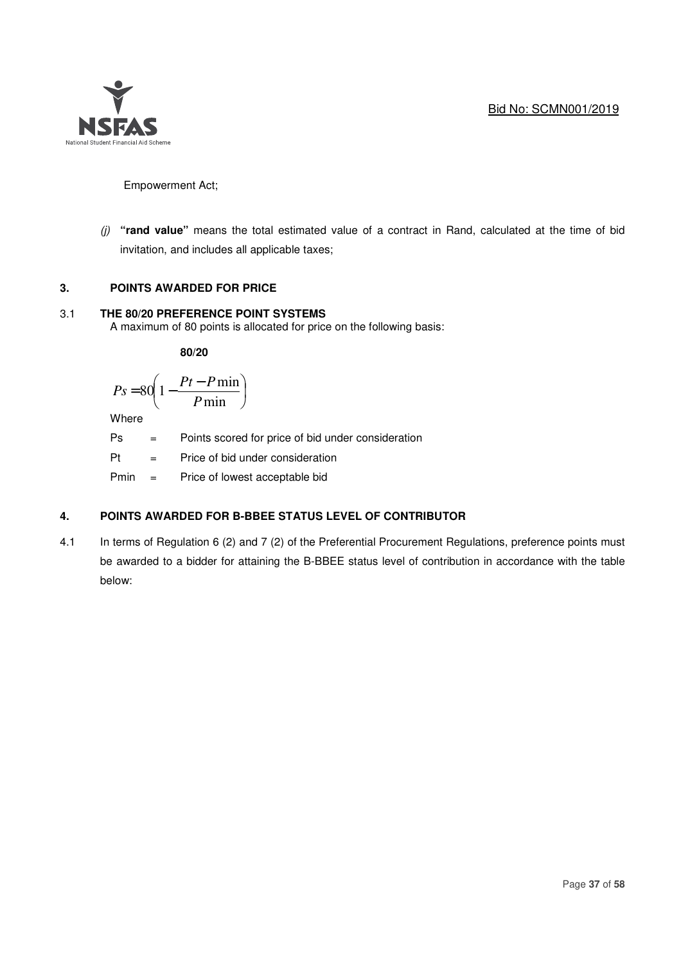

Empowerment Act;

*(j)* **"rand value"** means the total estimated value of a contract in Rand, calculated at the time of bid invitation, and includes all applicable taxes;

## **3. POINTS AWARDED FOR PRICE**

## 3.1 **THE 80/20 PREFERENCE POINT SYSTEMS**

A maximum of 80 points is allocated for price on the following basis:

 **80/20** 

$$
Ps = 80 \left( 1 - \frac{Pt - P \min}{P \min} \right)
$$

**Where** 

Ps = Points scored for price of bid under consideration

Pt = Price of bid under consideration

Pmin = Price of lowest acceptable bid

## **4. POINTS AWARDED FOR B-BBEE STATUS LEVEL OF CONTRIBUTOR**

4.1 In terms of Regulation 6 (2) and 7 (2) of the Preferential Procurement Regulations, preference points must be awarded to a bidder for attaining the B-BBEE status level of contribution in accordance with the table below: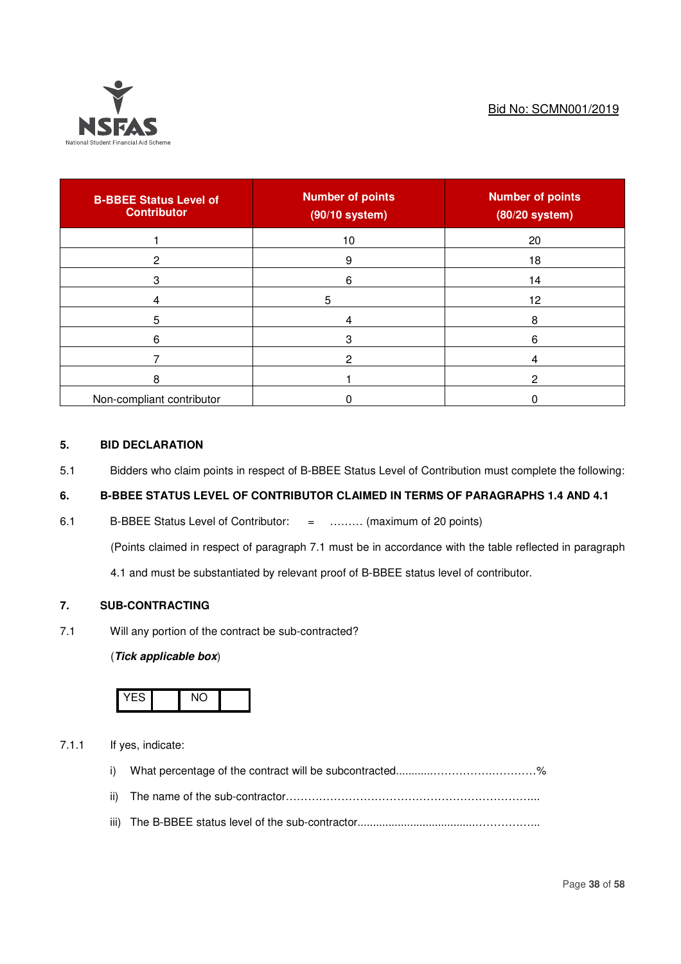

| <b>B-BBEE Status Level of</b><br><b>Contributor</b> | <b>Number of points</b><br>$(90/10$ system) | <b>Number of points</b><br>(80/20 system) |
|-----------------------------------------------------|---------------------------------------------|-------------------------------------------|
|                                                     | 10                                          | 20                                        |
| 2                                                   | 9                                           | 18                                        |
| 3                                                   | 6                                           | 14                                        |
|                                                     | 5                                           | 12                                        |
| 5                                                   |                                             | 8                                         |
| 6                                                   | 3                                           | 6                                         |
|                                                     |                                             |                                           |
| 8                                                   |                                             |                                           |
| Non-compliant contributor                           |                                             |                                           |

# **5. BID DECLARATION**

5.1 Bidders who claim points in respect of B-BBEE Status Level of Contribution must complete the following:

# **6. B-BBEE STATUS LEVEL OF CONTRIBUTOR CLAIMED IN TERMS OF PARAGRAPHS 1.4 AND 4.1**

6.1 B-BBEE Status Level of Contributor: = ……… (maximum of 20 points)

(Points claimed in respect of paragraph 7.1 must be in accordance with the table reflected in paragraph

4.1 and must be substantiated by relevant proof of B-BBEE status level of contributor.

## **7. SUB-CONTRACTING**

7.1 Will any portion of the contract be sub-contracted?

#### (**Tick applicable box**)



- 7.1.1 If yes, indicate:
	- i) What percentage of the contract will be subcontracted...................................%
	- ii) The name of the sub-contractor…………………………………………………………...
	- iii) The B-BBEE status level of the sub-contractor......................................……………...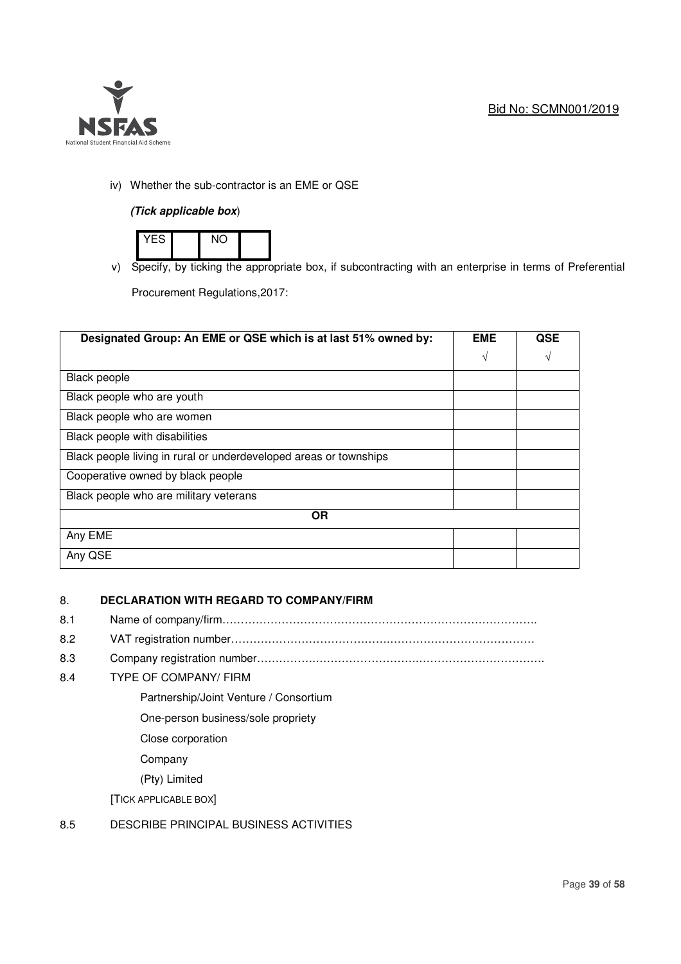

# iv) Whether the sub-contractor is an EME or QSE

## **(Tick applicable box**)



v) Specify, by ticking the appropriate box, if subcontracting with an enterprise in terms of Preferential

Procurement Regulations,2017:

| Designated Group: An EME or QSE which is at last 51% owned by:    |   | <b>QSE</b> |  |
|-------------------------------------------------------------------|---|------------|--|
|                                                                   | V | V          |  |
| <b>Black people</b>                                               |   |            |  |
| Black people who are youth                                        |   |            |  |
| Black people who are women                                        |   |            |  |
| Black people with disabilities                                    |   |            |  |
| Black people living in rural or underdeveloped areas or townships |   |            |  |
| Cooperative owned by black people                                 |   |            |  |
| Black people who are military veterans                            |   |            |  |
| <b>OR</b>                                                         |   |            |  |
| Any EME                                                           |   |            |  |
| Any QSE                                                           |   |            |  |

## 8. **DECLARATION WITH REGARD TO COMPANY/FIRM**

- 8.1 Name of company/firm………………………………………………………………………….
- 8.2 VAT registration number…………………………………….…………………………………
- 8.3 Company registration number…………….……………………….…………………………….

## 8.4 TYPE OF COMPANY/ FIRM

- Partnership/Joint Venture / Consortium
- One-person business/sole propriety
- Close corporation
- Company
- (Pty) Limited

[TICK APPLICABLE BOX]

# 8.5 DESCRIBE PRINCIPAL BUSINESS ACTIVITIES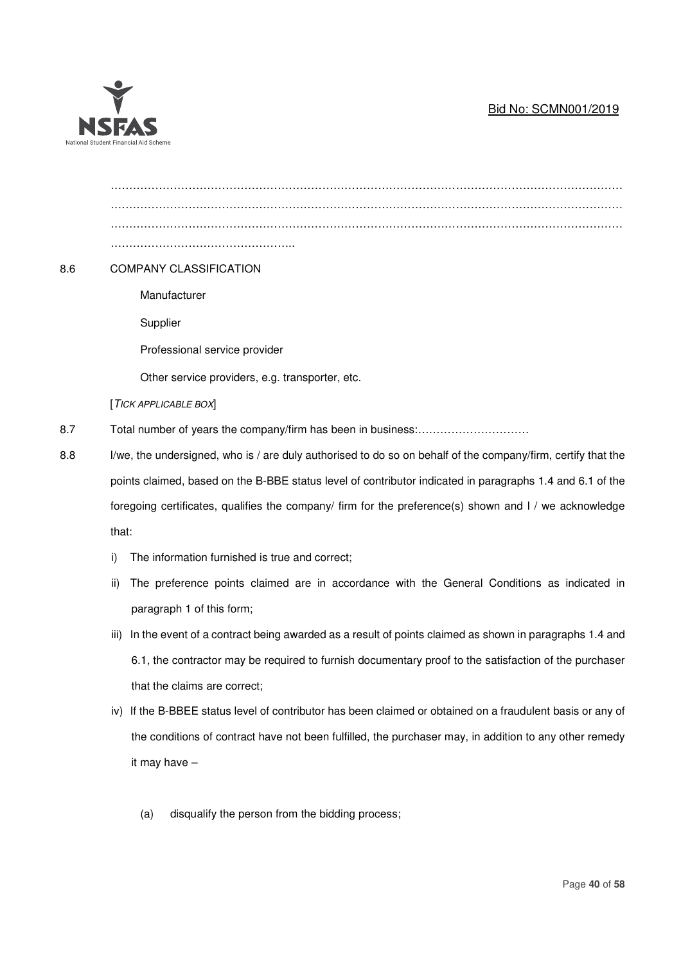# Bid No: SCMN001/2019



| 8.6 |                                                                                                        | <b>COMPANY CLASSIFICATION</b>                                                                                |  |
|-----|--------------------------------------------------------------------------------------------------------|--------------------------------------------------------------------------------------------------------------|--|
|     |                                                                                                        | Manufacturer                                                                                                 |  |
|     |                                                                                                        | Supplier                                                                                                     |  |
|     |                                                                                                        | Professional service provider                                                                                |  |
|     |                                                                                                        | Other service providers, e.g. transporter, etc.                                                              |  |
|     |                                                                                                        | [TICK APPLICABLE BOX]                                                                                        |  |
| 8.7 |                                                                                                        |                                                                                                              |  |
| 8.8 |                                                                                                        | I/we, the undersigned, who is / are duly authorised to do so on behalf of the company/firm, certify that the |  |
|     |                                                                                                        | points claimed, based on the B-BBE status level of contributor indicated in paragraphs 1.4 and 6.1 of the    |  |
|     | foregoing certificates, qualifies the company/ firm for the preference(s) shown and I / we acknowledge |                                                                                                              |  |
|     | that:                                                                                                  |                                                                                                              |  |
|     | i)                                                                                                     | The information furnished is true and correct;                                                               |  |
|     | ii)                                                                                                    | The preference points claimed are in accordance with the General Conditions as indicated in                  |  |
|     |                                                                                                        | paragraph 1 of this form;                                                                                    |  |
|     | iii)                                                                                                   | In the event of a contract being awarded as a result of points claimed as shown in paragraphs 1.4 and        |  |
|     |                                                                                                        | 6.1, the contractor may be required to furnish documentary proof to the satisfaction of the purchaser        |  |
|     |                                                                                                        | that the claims are correct;                                                                                 |  |
|     |                                                                                                        |                                                                                                              |  |

- iv) If the B-BBEE status level of contributor has been claimed or obtained on a fraudulent basis or any of the conditions of contract have not been fulfilled, the purchaser may, in addition to any other remedy it may have –
	- (a) disqualify the person from the bidding process;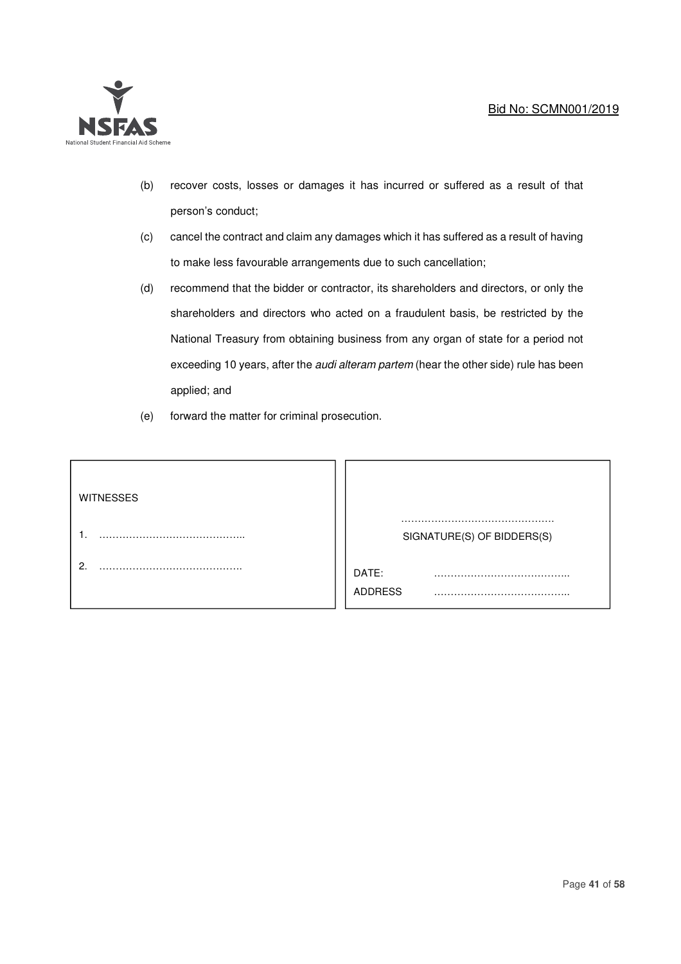## Bid No: SCMN001/2019



- (b) recover costs, losses or damages it has incurred or suffered as a result of that person's conduct;
- (c) cancel the contract and claim any damages which it has suffered as a result of having to make less favourable arrangements due to such cancellation;
- (d) recommend that the bidder or contractor, its shareholders and directors, or only the shareholders and directors who acted on a fraudulent basis, be restricted by the National Treasury from obtaining business from any organ of state for a period not exceeding 10 years, after the *audi alteram partem* (hear the other side) rule has been applied; and
- (e) forward the matter for criminal prosecution.

| <b>WITNESSES</b> |                            |  |
|------------------|----------------------------|--|
|                  | SIGNATURE(S) OF BIDDERS(S) |  |
| ⌒                | DATE:<br><b>ADDRESS</b>    |  |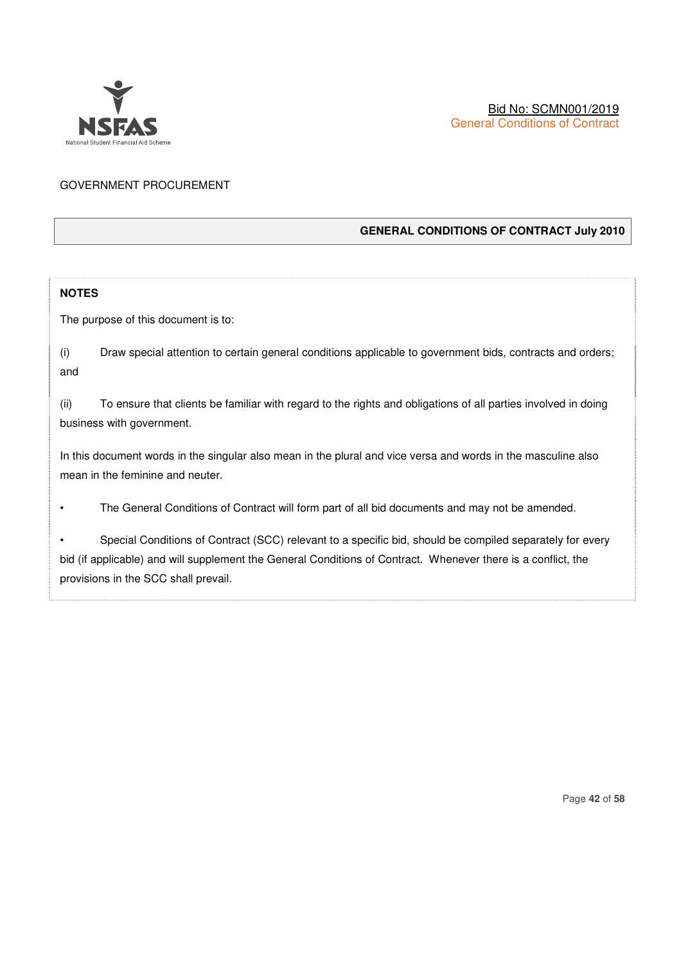

# GOVERNMENT PROCUREMENT

## **GENERAL CONDITIONS OF CONTRACT July 2010**

## **NOTES**

The purpose of this document is to:

|     | Draw special attention to certain general conditions applicable to government bids, contracts and orders; |
|-----|-----------------------------------------------------------------------------------------------------------|
| and |                                                                                                           |

(ii) To ensure that clients be familiar with regard to the rights and obligations of all parties involved in doing business with government.

In this document words in the singular also mean in the plural and vice versa and words in the masculine also mean in the feminine and neuter.

• The General Conditions of Contract will form part of all bid documents and may not be amended.

Special Conditions of Contract (SCC) relevant to a specific bid, should be compiled separately for every bid (if applicable) and will supplement the General Conditions of Contract. Whenever there is a conflict, the provisions in the SCC shall prevail.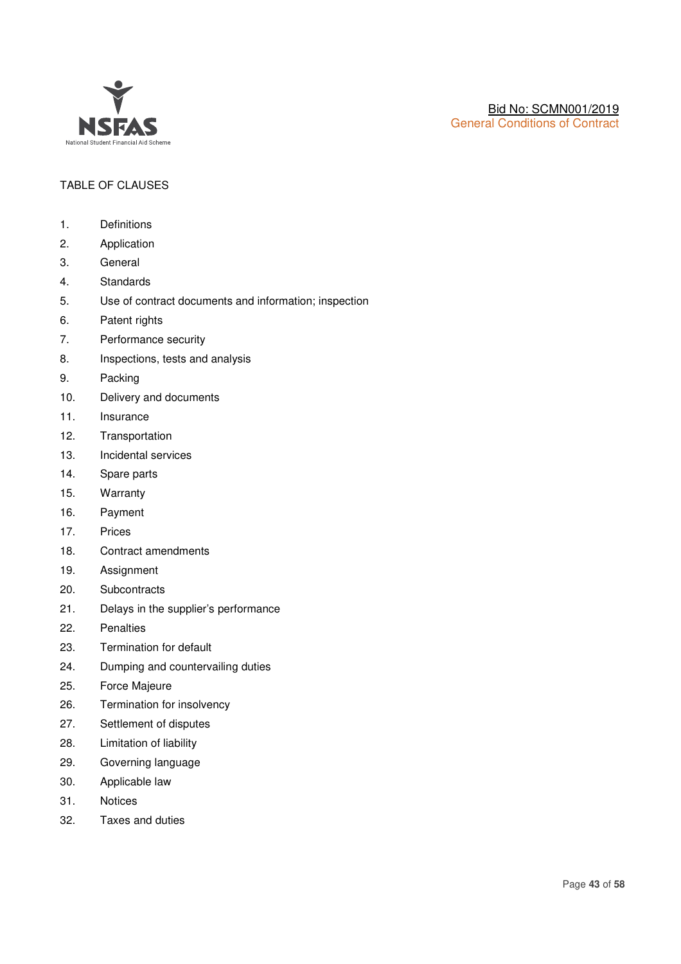

# TABLE OF CLAUSES

- 1. Definitions
- 2. Application
- 3. General
- 4. Standards
- 5. Use of contract documents and information; inspection
- 6. Patent rights
- 7. Performance security
- 8. Inspections, tests and analysis
- 9. Packing
- 10. Delivery and documents
- 11. Insurance
- 12. Transportation
- 13. Incidental services
- 14. Spare parts
- 15. Warranty
- 16. Payment
- 17. Prices
- 18. Contract amendments
- 19. Assignment
- 20. Subcontracts
- 21. Delays in the supplier's performance
- 22. Penalties
- 23. Termination for default
- 24. Dumping and countervailing duties
- 25. Force Majeure
- 26. Termination for insolvency
- 27. Settlement of disputes
- 28. Limitation of liability
- 29. Governing language
- 30. Applicable law
- 31. Notices
- 32. Taxes and duties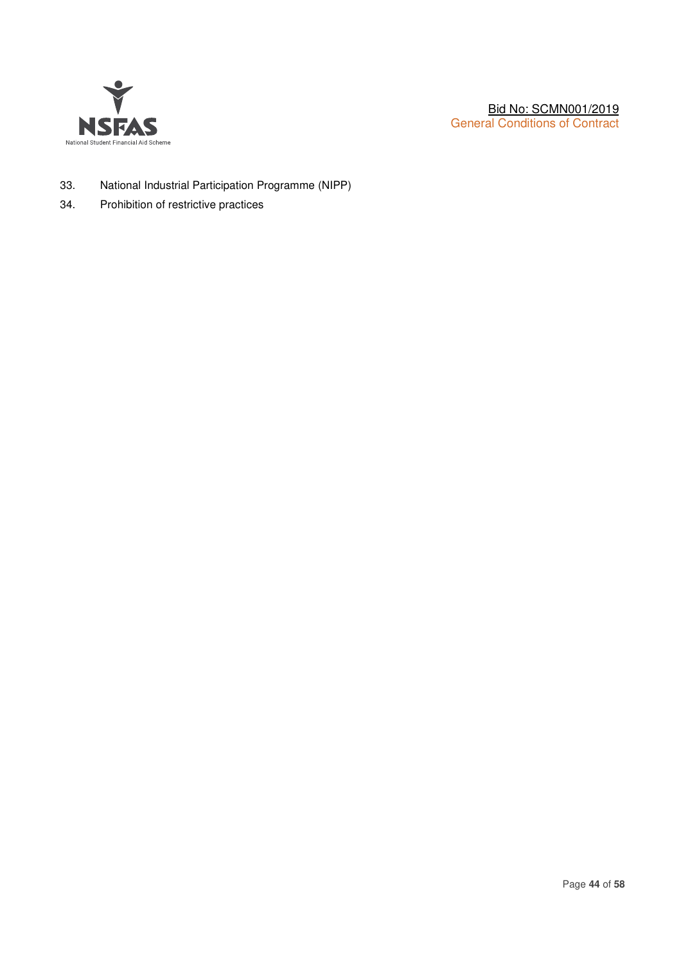

- 33. National Industrial Participation Programme (NIPP)
- 34. Prohibition of restrictive practices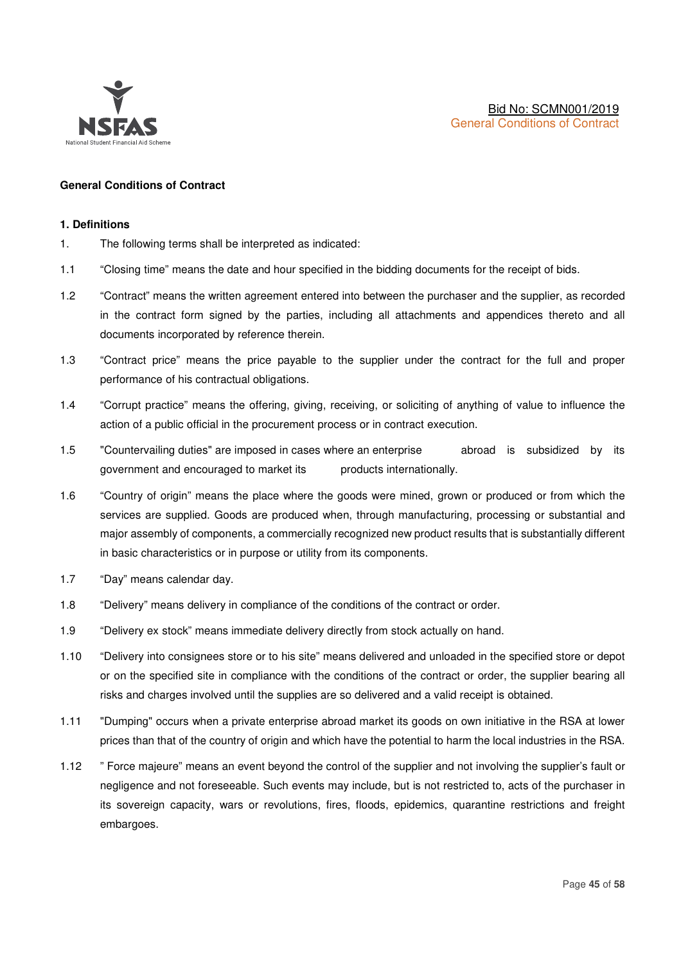

## **General Conditions of Contract**

#### **1. Definitions**

- 1. The following terms shall be interpreted as indicated:
- 1.1 "Closing time" means the date and hour specified in the bidding documents for the receipt of bids.
- 1.2 "Contract" means the written agreement entered into between the purchaser and the supplier, as recorded in the contract form signed by the parties, including all attachments and appendices thereto and all documents incorporated by reference therein.
- 1.3 "Contract price" means the price payable to the supplier under the contract for the full and proper performance of his contractual obligations.
- 1.4 "Corrupt practice" means the offering, giving, receiving, or soliciting of anything of value to influence the action of a public official in the procurement process or in contract execution.
- 1.5 "Countervailing duties" are imposed in cases where an enterprise abroad is subsidized by its government and encouraged to market its products internationally.
- 1.6 "Country of origin" means the place where the goods were mined, grown or produced or from which the services are supplied. Goods are produced when, through manufacturing, processing or substantial and major assembly of components, a commercially recognized new product results that is substantially different in basic characteristics or in purpose or utility from its components.
- 1.7 "Day" means calendar day.
- 1.8 "Delivery" means delivery in compliance of the conditions of the contract or order.
- 1.9 "Delivery ex stock" means immediate delivery directly from stock actually on hand.
- 1.10 "Delivery into consignees store or to his site" means delivered and unloaded in the specified store or depot or on the specified site in compliance with the conditions of the contract or order, the supplier bearing all risks and charges involved until the supplies are so delivered and a valid receipt is obtained.
- 1.11 "Dumping" occurs when a private enterprise abroad market its goods on own initiative in the RSA at lower prices than that of the country of origin and which have the potential to harm the local industries in the RSA.
- 1.12 " Force majeure" means an event beyond the control of the supplier and not involving the supplier's fault or negligence and not foreseeable. Such events may include, but is not restricted to, acts of the purchaser in its sovereign capacity, wars or revolutions, fires, floods, epidemics, quarantine restrictions and freight embargoes.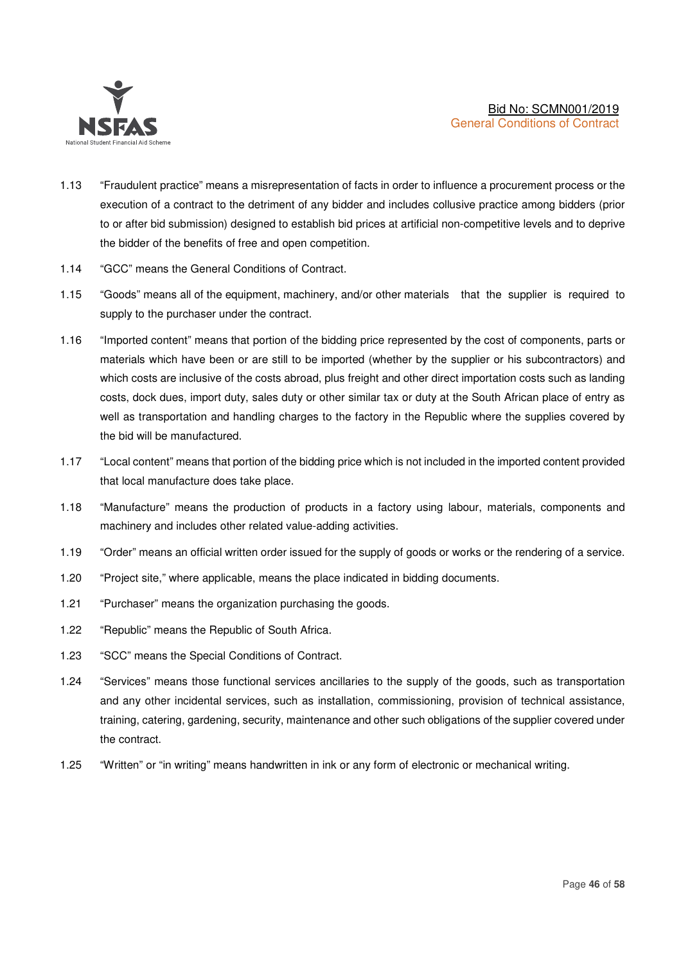

- 1.13 "Fraudulent practice" means a misrepresentation of facts in order to influence a procurement process or the execution of a contract to the detriment of any bidder and includes collusive practice among bidders (prior to or after bid submission) designed to establish bid prices at artificial non-competitive levels and to deprive the bidder of the benefits of free and open competition.
- 1.14 "GCC" means the General Conditions of Contract.
- 1.15 "Goods" means all of the equipment, machinery, and/or other materials that the supplier is required to supply to the purchaser under the contract.
- 1.16 "Imported content" means that portion of the bidding price represented by the cost of components, parts or materials which have been or are still to be imported (whether by the supplier or his subcontractors) and which costs are inclusive of the costs abroad, plus freight and other direct importation costs such as landing costs, dock dues, import duty, sales duty or other similar tax or duty at the South African place of entry as well as transportation and handling charges to the factory in the Republic where the supplies covered by the bid will be manufactured.
- 1.17 "Local content" means that portion of the bidding price which is not included in the imported content provided that local manufacture does take place.
- 1.18 "Manufacture" means the production of products in a factory using labour, materials, components and machinery and includes other related value-adding activities.
- 1.19 "Order" means an official written order issued for the supply of goods or works or the rendering of a service.
- 1.20 "Project site," where applicable, means the place indicated in bidding documents.
- 1.21 "Purchaser" means the organization purchasing the goods.
- 1.22 "Republic" means the Republic of South Africa.
- 1.23 "SCC" means the Special Conditions of Contract.
- 1.24 "Services" means those functional services ancillaries to the supply of the goods, such as transportation and any other incidental services, such as installation, commissioning, provision of technical assistance, training, catering, gardening, security, maintenance and other such obligations of the supplier covered under the contract.
- 1.25 "Written" or "in writing" means handwritten in ink or any form of electronic or mechanical writing.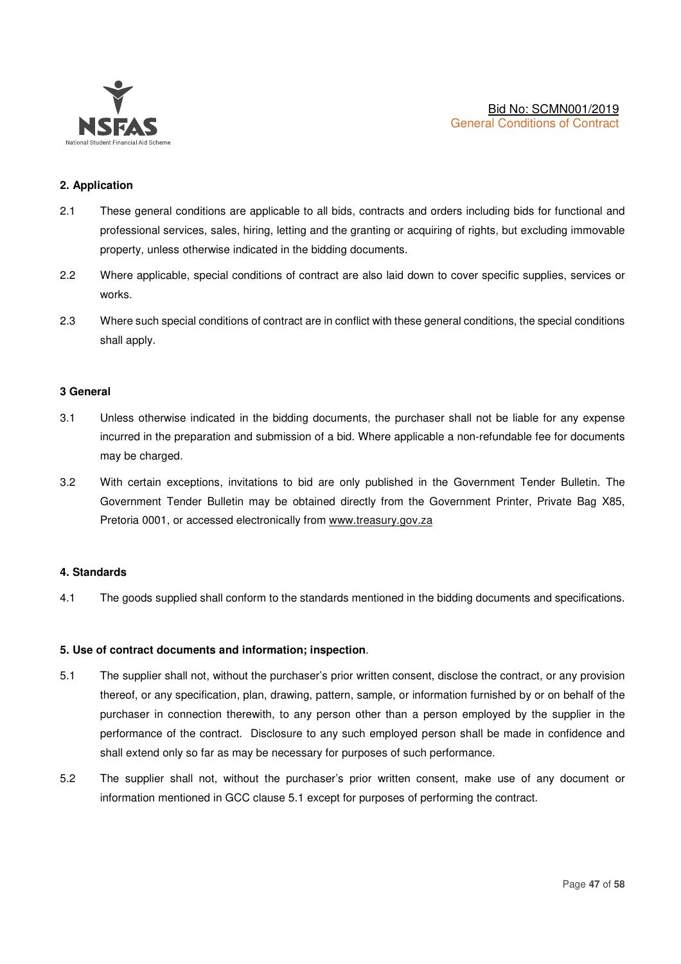

## **2. Application**

- 2.1 These general conditions are applicable to all bids, contracts and orders including bids for functional and professional services, sales, hiring, letting and the granting or acquiring of rights, but excluding immovable property, unless otherwise indicated in the bidding documents.
- 2.2 Where applicable, special conditions of contract are also laid down to cover specific supplies, services or works.
- 2.3 Where such special conditions of contract are in conflict with these general conditions, the special conditions shall apply.

#### **3 General**

- 3.1 Unless otherwise indicated in the bidding documents, the purchaser shall not be liable for any expense incurred in the preparation and submission of a bid. Where applicable a non-refundable fee for documents may be charged.
- 3.2 With certain exceptions, invitations to bid are only published in the Government Tender Bulletin. The Government Tender Bulletin may be obtained directly from the Government Printer, Private Bag X85, Pretoria 0001, or accessed electronically from www.treasury.gov.za

## **4. Standards**

4.1 The goods supplied shall conform to the standards mentioned in the bidding documents and specifications.

#### **5. Use of contract documents and information; inspection**.

- 5.1 The supplier shall not, without the purchaser's prior written consent, disclose the contract, or any provision thereof, or any specification, plan, drawing, pattern, sample, or information furnished by or on behalf of the purchaser in connection therewith, to any person other than a person employed by the supplier in the performance of the contract. Disclosure to any such employed person shall be made in confidence and shall extend only so far as may be necessary for purposes of such performance.
- 5.2 The supplier shall not, without the purchaser's prior written consent, make use of any document or information mentioned in GCC clause 5.1 except for purposes of performing the contract.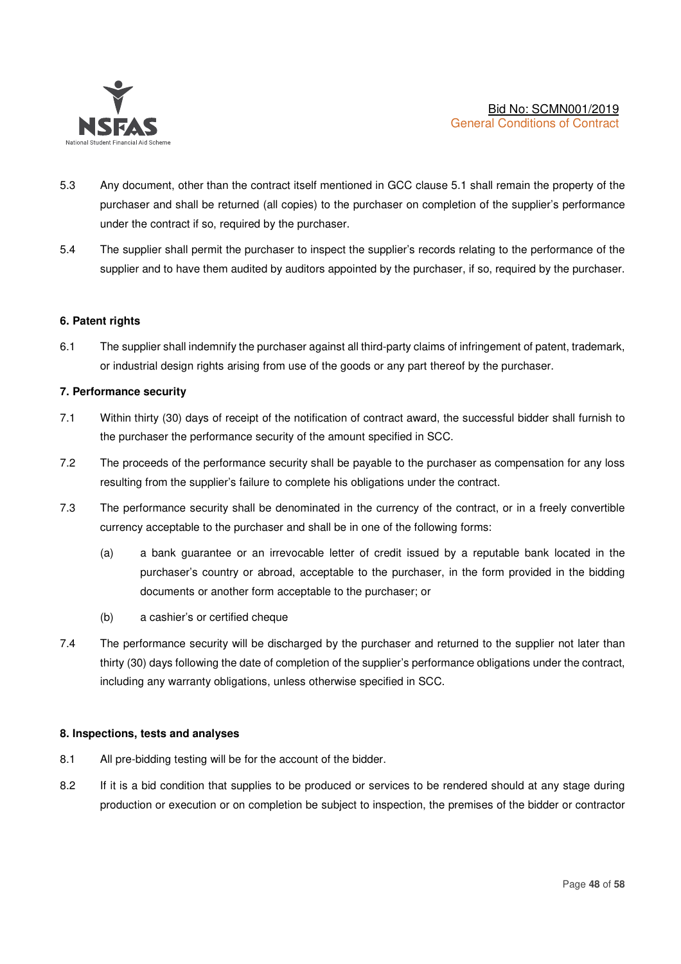

- 5.3 Any document, other than the contract itself mentioned in GCC clause 5.1 shall remain the property of the purchaser and shall be returned (all copies) to the purchaser on completion of the supplier's performance under the contract if so, required by the purchaser.
- 5.4 The supplier shall permit the purchaser to inspect the supplier's records relating to the performance of the supplier and to have them audited by auditors appointed by the purchaser, if so, required by the purchaser.

## **6. Patent rights**

6.1 The supplier shall indemnify the purchaser against all third-party claims of infringement of patent, trademark, or industrial design rights arising from use of the goods or any part thereof by the purchaser.

## **7. Performance security**

- 7.1 Within thirty (30) days of receipt of the notification of contract award, the successful bidder shall furnish to the purchaser the performance security of the amount specified in SCC.
- 7.2 The proceeds of the performance security shall be payable to the purchaser as compensation for any loss resulting from the supplier's failure to complete his obligations under the contract.
- 7.3 The performance security shall be denominated in the currency of the contract, or in a freely convertible currency acceptable to the purchaser and shall be in one of the following forms:
	- (a) a bank guarantee or an irrevocable letter of credit issued by a reputable bank located in the purchaser's country or abroad, acceptable to the purchaser, in the form provided in the bidding documents or another form acceptable to the purchaser; or
	- (b) a cashier's or certified cheque
- 7.4 The performance security will be discharged by the purchaser and returned to the supplier not later than thirty (30) days following the date of completion of the supplier's performance obligations under the contract, including any warranty obligations, unless otherwise specified in SCC.

#### **8. Inspections, tests and analyses**

- 8.1 All pre-bidding testing will be for the account of the bidder.
- 8.2 If it is a bid condition that supplies to be produced or services to be rendered should at any stage during production or execution or on completion be subject to inspection, the premises of the bidder or contractor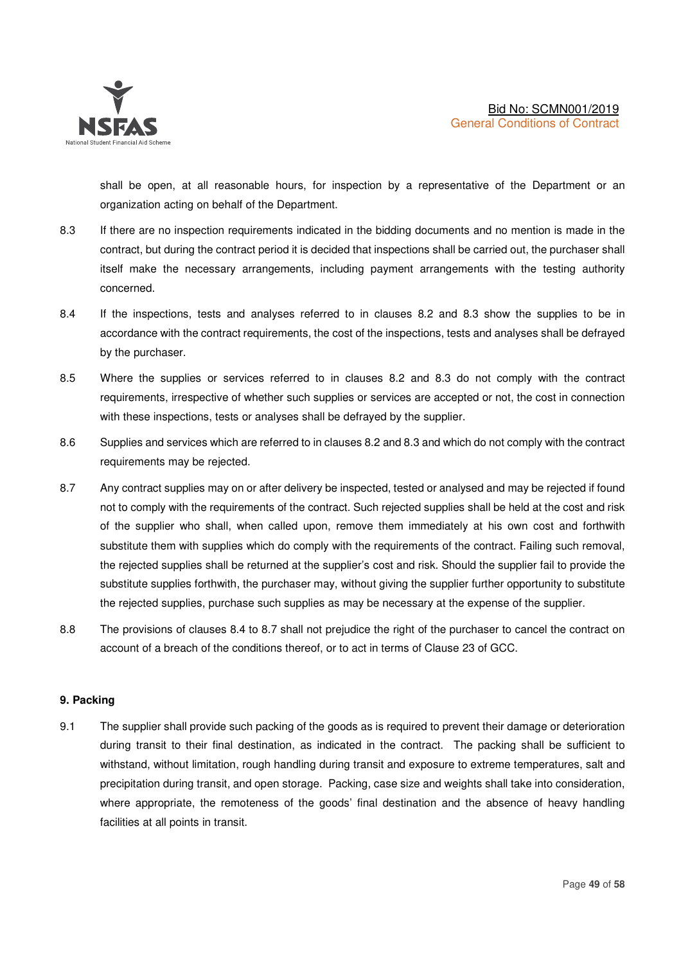

shall be open, at all reasonable hours, for inspection by a representative of the Department or an organization acting on behalf of the Department.

- 8.3 If there are no inspection requirements indicated in the bidding documents and no mention is made in the contract, but during the contract period it is decided that inspections shall be carried out, the purchaser shall itself make the necessary arrangements, including payment arrangements with the testing authority concerned.
- 8.4 If the inspections, tests and analyses referred to in clauses 8.2 and 8.3 show the supplies to be in accordance with the contract requirements, the cost of the inspections, tests and analyses shall be defrayed by the purchaser.
- 8.5 Where the supplies or services referred to in clauses 8.2 and 8.3 do not comply with the contract requirements, irrespective of whether such supplies or services are accepted or not, the cost in connection with these inspections, tests or analyses shall be defrayed by the supplier.
- 8.6 Supplies and services which are referred to in clauses 8.2 and 8.3 and which do not comply with the contract requirements may be rejected.
- 8.7 Any contract supplies may on or after delivery be inspected, tested or analysed and may be rejected if found not to comply with the requirements of the contract. Such rejected supplies shall be held at the cost and risk of the supplier who shall, when called upon, remove them immediately at his own cost and forthwith substitute them with supplies which do comply with the requirements of the contract. Failing such removal, the rejected supplies shall be returned at the supplier's cost and risk. Should the supplier fail to provide the substitute supplies forthwith, the purchaser may, without giving the supplier further opportunity to substitute the rejected supplies, purchase such supplies as may be necessary at the expense of the supplier.
- 8.8 The provisions of clauses 8.4 to 8.7 shall not prejudice the right of the purchaser to cancel the contract on account of a breach of the conditions thereof, or to act in terms of Clause 23 of GCC.

## **9. Packing**

9.1 The supplier shall provide such packing of the goods as is required to prevent their damage or deterioration during transit to their final destination, as indicated in the contract. The packing shall be sufficient to withstand, without limitation, rough handling during transit and exposure to extreme temperatures, salt and precipitation during transit, and open storage. Packing, case size and weights shall take into consideration, where appropriate, the remoteness of the goods' final destination and the absence of heavy handling facilities at all points in transit.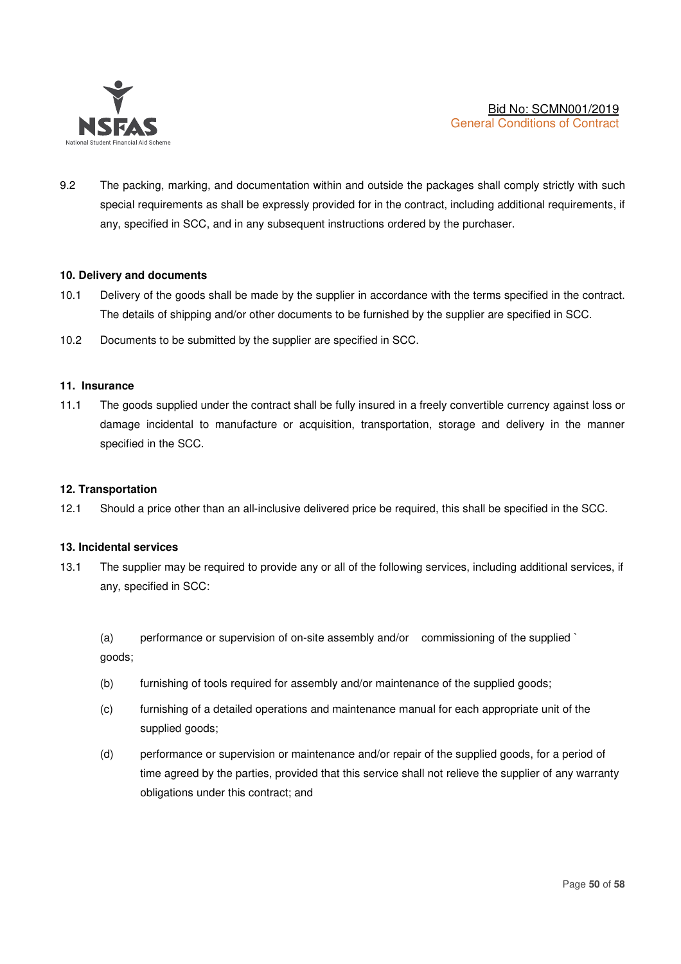

9.2 The packing, marking, and documentation within and outside the packages shall comply strictly with such special requirements as shall be expressly provided for in the contract, including additional requirements, if any, specified in SCC, and in any subsequent instructions ordered by the purchaser.

## **10. Delivery and documents**

- 10.1 Delivery of the goods shall be made by the supplier in accordance with the terms specified in the contract. The details of shipping and/or other documents to be furnished by the supplier are specified in SCC.
- 10.2 Documents to be submitted by the supplier are specified in SCC.

#### **11. Insurance**

11.1 The goods supplied under the contract shall be fully insured in a freely convertible currency against loss or damage incidental to manufacture or acquisition, transportation, storage and delivery in the manner specified in the SCC.

#### **12. Transportation**

12.1 Should a price other than an all-inclusive delivered price be required, this shall be specified in the SCC.

## **13. Incidental services**

13.1 The supplier may be required to provide any or all of the following services, including additional services, if any, specified in SCC:

 (a) performance or supervision of on-site assembly and/or commissioning of the supplied ` goods;

- (b) furnishing of tools required for assembly and/or maintenance of the supplied goods;
- (c) furnishing of a detailed operations and maintenance manual for each appropriate unit of the supplied goods;
- (d) performance or supervision or maintenance and/or repair of the supplied goods, for a period of time agreed by the parties, provided that this service shall not relieve the supplier of any warranty obligations under this contract; and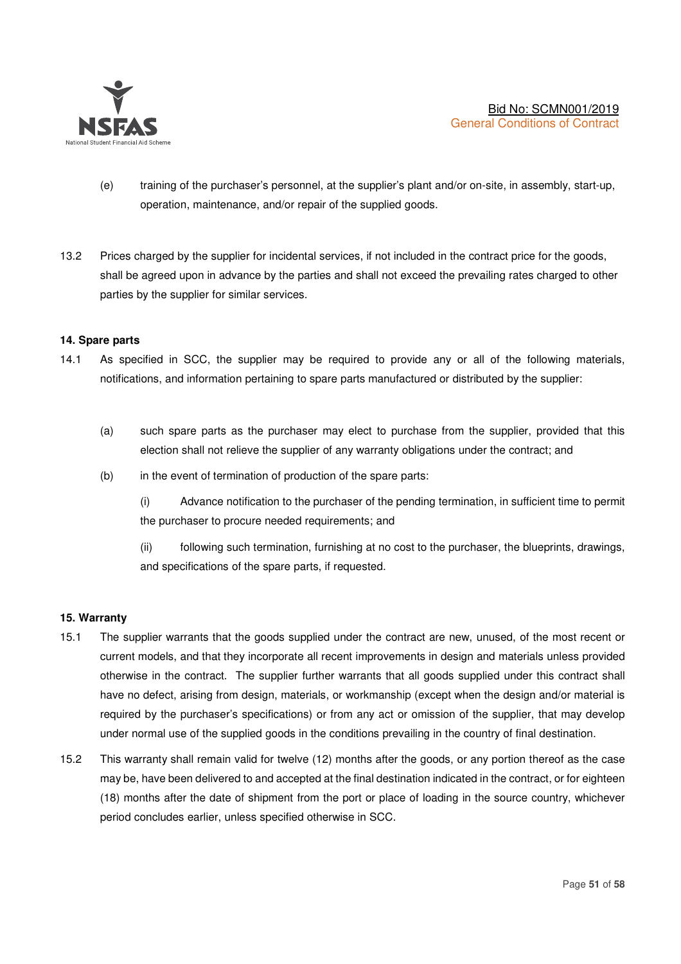

- (e) training of the purchaser's personnel, at the supplier's plant and/or on-site, in assembly, start-up, operation, maintenance, and/or repair of the supplied goods.
- 13.2 Prices charged by the supplier for incidental services, if not included in the contract price for the goods, shall be agreed upon in advance by the parties and shall not exceed the prevailing rates charged to other parties by the supplier for similar services.

## **14. Spare parts**

- 14.1 As specified in SCC, the supplier may be required to provide any or all of the following materials, notifications, and information pertaining to spare parts manufactured or distributed by the supplier:
	- (a) such spare parts as the purchaser may elect to purchase from the supplier, provided that this election shall not relieve the supplier of any warranty obligations under the contract; and
	- (b) in the event of termination of production of the spare parts:

(i) Advance notification to the purchaser of the pending termination, in sufficient time to permit the purchaser to procure needed requirements; and

(ii) following such termination, furnishing at no cost to the purchaser, the blueprints, drawings, and specifications of the spare parts, if requested.

#### **15. Warranty**

- 15.1 The supplier warrants that the goods supplied under the contract are new, unused, of the most recent or current models, and that they incorporate all recent improvements in design and materials unless provided otherwise in the contract. The supplier further warrants that all goods supplied under this contract shall have no defect, arising from design, materials, or workmanship (except when the design and/or material is required by the purchaser's specifications) or from any act or omission of the supplier, that may develop under normal use of the supplied goods in the conditions prevailing in the country of final destination.
- 15.2 This warranty shall remain valid for twelve (12) months after the goods, or any portion thereof as the case may be, have been delivered to and accepted at the final destination indicated in the contract, or for eighteen (18) months after the date of shipment from the port or place of loading in the source country, whichever period concludes earlier, unless specified otherwise in SCC.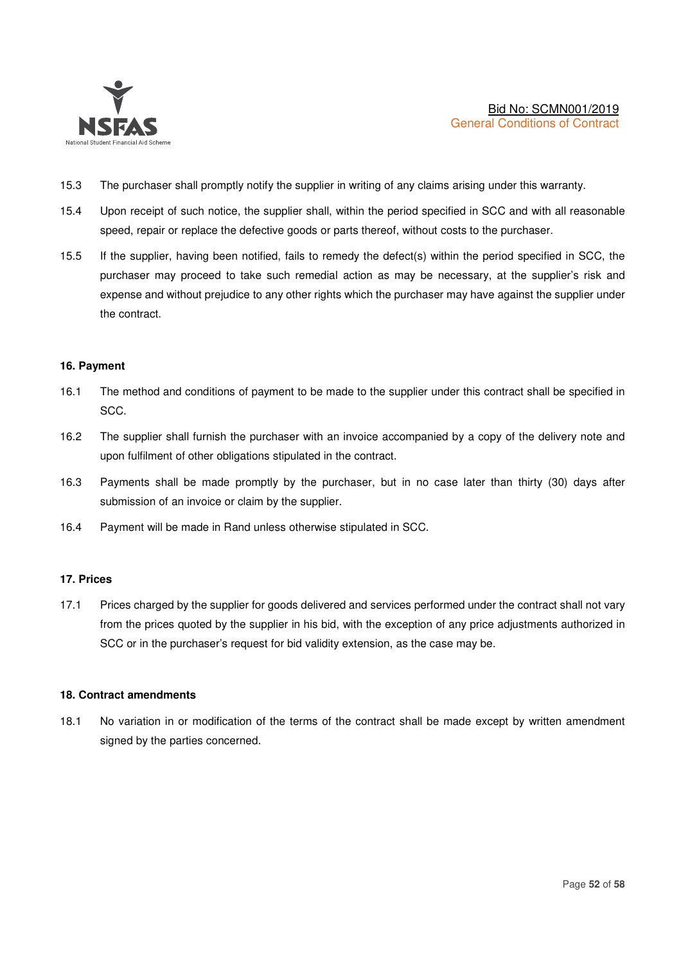

- 15.3 The purchaser shall promptly notify the supplier in writing of any claims arising under this warranty.
- 15.4 Upon receipt of such notice, the supplier shall, within the period specified in SCC and with all reasonable speed, repair or replace the defective goods or parts thereof, without costs to the purchaser.
- 15.5 If the supplier, having been notified, fails to remedy the defect(s) within the period specified in SCC, the purchaser may proceed to take such remedial action as may be necessary, at the supplier's risk and expense and without prejudice to any other rights which the purchaser may have against the supplier under the contract.

#### **16. Payment**

- 16.1 The method and conditions of payment to be made to the supplier under this contract shall be specified in SCC.
- 16.2 The supplier shall furnish the purchaser with an invoice accompanied by a copy of the delivery note and upon fulfilment of other obligations stipulated in the contract.
- 16.3 Payments shall be made promptly by the purchaser, but in no case later than thirty (30) days after submission of an invoice or claim by the supplier.
- 16.4 Payment will be made in Rand unless otherwise stipulated in SCC.

#### **17. Prices**

17.1 Prices charged by the supplier for goods delivered and services performed under the contract shall not vary from the prices quoted by the supplier in his bid, with the exception of any price adjustments authorized in SCC or in the purchaser's request for bid validity extension, as the case may be.

## **18. Contract amendments**

18.1 No variation in or modification of the terms of the contract shall be made except by written amendment signed by the parties concerned.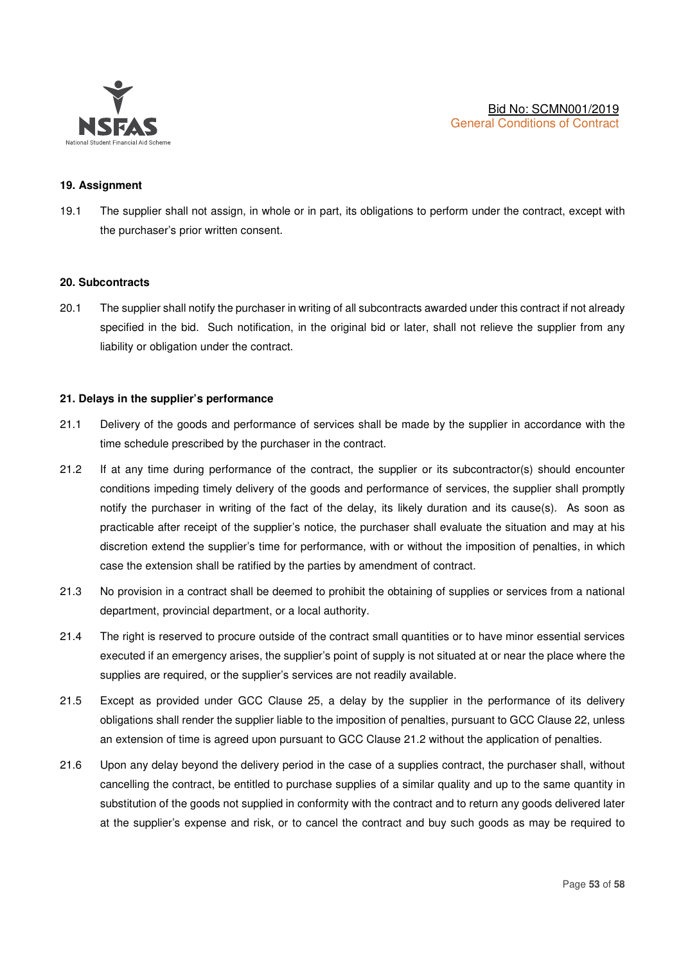

## **19. Assignment**

19.1 The supplier shall not assign, in whole or in part, its obligations to perform under the contract, except with the purchaser's prior written consent.

#### **20. Subcontracts**

20.1 The supplier shall notify the purchaser in writing of all subcontracts awarded under this contract if not already specified in the bid. Such notification, in the original bid or later, shall not relieve the supplier from any liability or obligation under the contract.

#### **21. Delays in the supplier's performance**

- 21.1 Delivery of the goods and performance of services shall be made by the supplier in accordance with the time schedule prescribed by the purchaser in the contract.
- 21.2 If at any time during performance of the contract, the supplier or its subcontractor(s) should encounter conditions impeding timely delivery of the goods and performance of services, the supplier shall promptly notify the purchaser in writing of the fact of the delay, its likely duration and its cause(s). As soon as practicable after receipt of the supplier's notice, the purchaser shall evaluate the situation and may at his discretion extend the supplier's time for performance, with or without the imposition of penalties, in which case the extension shall be ratified by the parties by amendment of contract.
- 21.3 No provision in a contract shall be deemed to prohibit the obtaining of supplies or services from a national department, provincial department, or a local authority.
- 21.4 The right is reserved to procure outside of the contract small quantities or to have minor essential services executed if an emergency arises, the supplier's point of supply is not situated at or near the place where the supplies are required, or the supplier's services are not readily available.
- 21.5 Except as provided under GCC Clause 25, a delay by the supplier in the performance of its delivery obligations shall render the supplier liable to the imposition of penalties, pursuant to GCC Clause 22, unless an extension of time is agreed upon pursuant to GCC Clause 21.2 without the application of penalties.
- 21.6 Upon any delay beyond the delivery period in the case of a supplies contract, the purchaser shall, without cancelling the contract, be entitled to purchase supplies of a similar quality and up to the same quantity in substitution of the goods not supplied in conformity with the contract and to return any goods delivered later at the supplier's expense and risk, or to cancel the contract and buy such goods as may be required to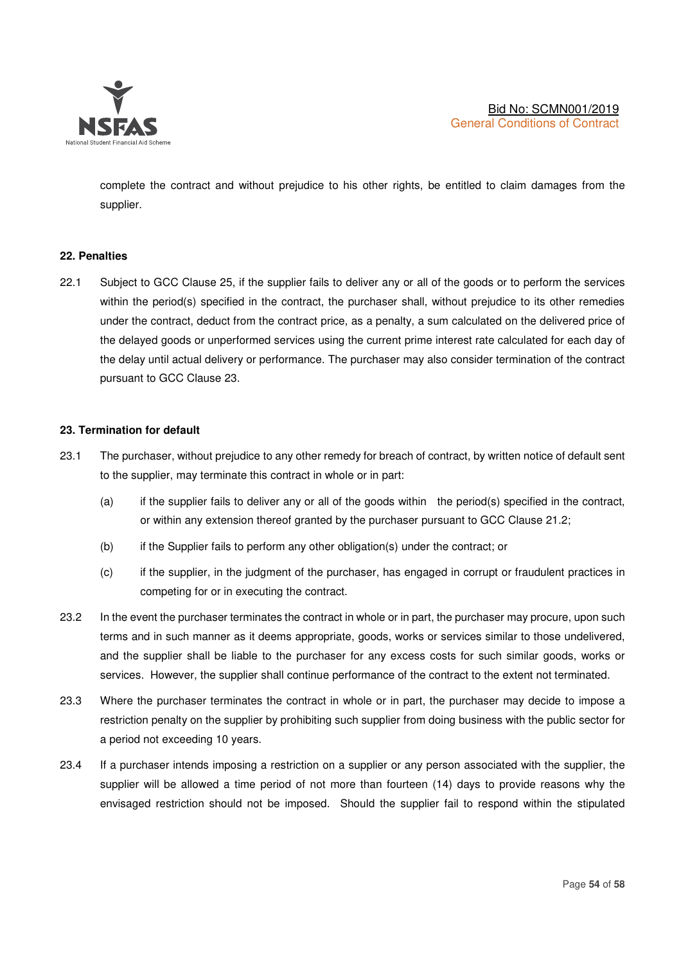

complete the contract and without prejudice to his other rights, be entitled to claim damages from the supplier.

## **22. Penalties**

22.1 Subject to GCC Clause 25, if the supplier fails to deliver any or all of the goods or to perform the services within the period(s) specified in the contract, the purchaser shall, without prejudice to its other remedies under the contract, deduct from the contract price, as a penalty, a sum calculated on the delivered price of the delayed goods or unperformed services using the current prime interest rate calculated for each day of the delay until actual delivery or performance. The purchaser may also consider termination of the contract pursuant to GCC Clause 23.

#### **23. Termination for default**

- 23.1 The purchaser, without prejudice to any other remedy for breach of contract, by written notice of default sent to the supplier, may terminate this contract in whole or in part:
	- (a) if the supplier fails to deliver any or all of the goods within the period(s) specified in the contract, or within any extension thereof granted by the purchaser pursuant to GCC Clause 21.2;
	- (b) if the Supplier fails to perform any other obligation(s) under the contract; or
	- (c) if the supplier, in the judgment of the purchaser, has engaged in corrupt or fraudulent practices in competing for or in executing the contract.
- 23.2 In the event the purchaser terminates the contract in whole or in part, the purchaser may procure, upon such terms and in such manner as it deems appropriate, goods, works or services similar to those undelivered, and the supplier shall be liable to the purchaser for any excess costs for such similar goods, works or services. However, the supplier shall continue performance of the contract to the extent not terminated.
- 23.3 Where the purchaser terminates the contract in whole or in part, the purchaser may decide to impose a restriction penalty on the supplier by prohibiting such supplier from doing business with the public sector for a period not exceeding 10 years.
- 23.4 If a purchaser intends imposing a restriction on a supplier or any person associated with the supplier, the supplier will be allowed a time period of not more than fourteen (14) days to provide reasons why the envisaged restriction should not be imposed. Should the supplier fail to respond within the stipulated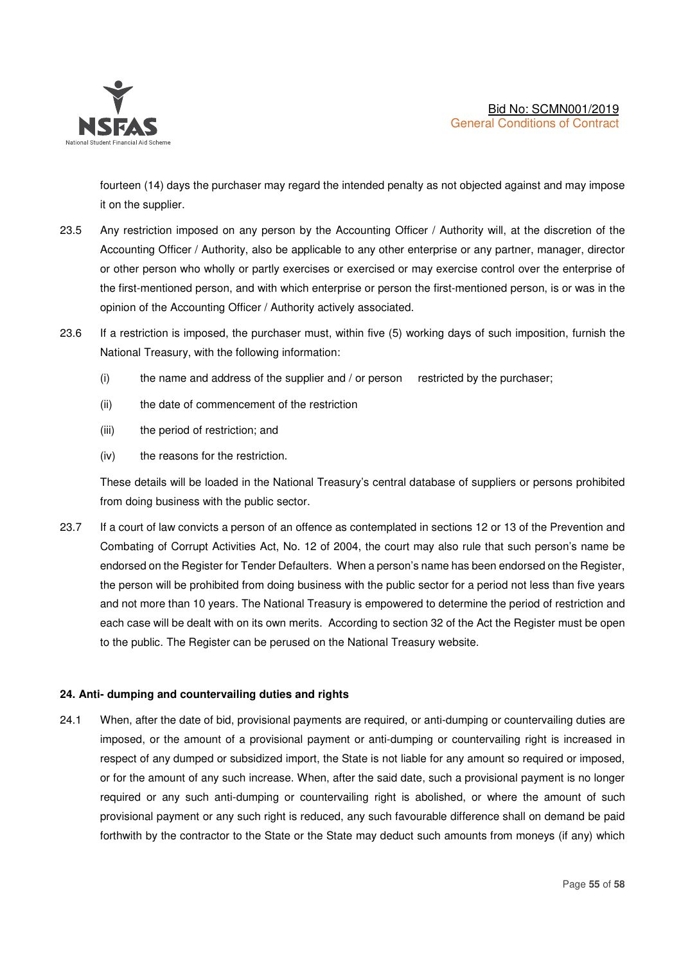

fourteen (14) days the purchaser may regard the intended penalty as not objected against and may impose it on the supplier.

- 23.5 Any restriction imposed on any person by the Accounting Officer / Authority will, at the discretion of the Accounting Officer / Authority, also be applicable to any other enterprise or any partner, manager, director or other person who wholly or partly exercises or exercised or may exercise control over the enterprise of the first-mentioned person, and with which enterprise or person the first-mentioned person, is or was in the opinion of the Accounting Officer / Authority actively associated.
- 23.6 If a restriction is imposed, the purchaser must, within five (5) working days of such imposition, furnish the National Treasury, with the following information:
	- (i) the name and address of the supplier and / or person restricted by the purchaser;
	- (ii) the date of commencement of the restriction
	- (iii) the period of restriction; and
	- (iv) the reasons for the restriction.

These details will be loaded in the National Treasury's central database of suppliers or persons prohibited from doing business with the public sector.

23.7 If a court of law convicts a person of an offence as contemplated in sections 12 or 13 of the Prevention and Combating of Corrupt Activities Act, No. 12 of 2004, the court may also rule that such person's name be endorsed on the Register for Tender Defaulters. When a person's name has been endorsed on the Register, the person will be prohibited from doing business with the public sector for a period not less than five years and not more than 10 years. The National Treasury is empowered to determine the period of restriction and each case will be dealt with on its own merits. According to section 32 of the Act the Register must be open to the public. The Register can be perused on the National Treasury website.

## **24. Anti- dumping and countervailing duties and rights**

24.1 When, after the date of bid, provisional payments are required, or anti-dumping or countervailing duties are imposed, or the amount of a provisional payment or anti-dumping or countervailing right is increased in respect of any dumped or subsidized import, the State is not liable for any amount so required or imposed, or for the amount of any such increase. When, after the said date, such a provisional payment is no longer required or any such anti-dumping or countervailing right is abolished, or where the amount of such provisional payment or any such right is reduced, any such favourable difference shall on demand be paid forthwith by the contractor to the State or the State may deduct such amounts from moneys (if any) which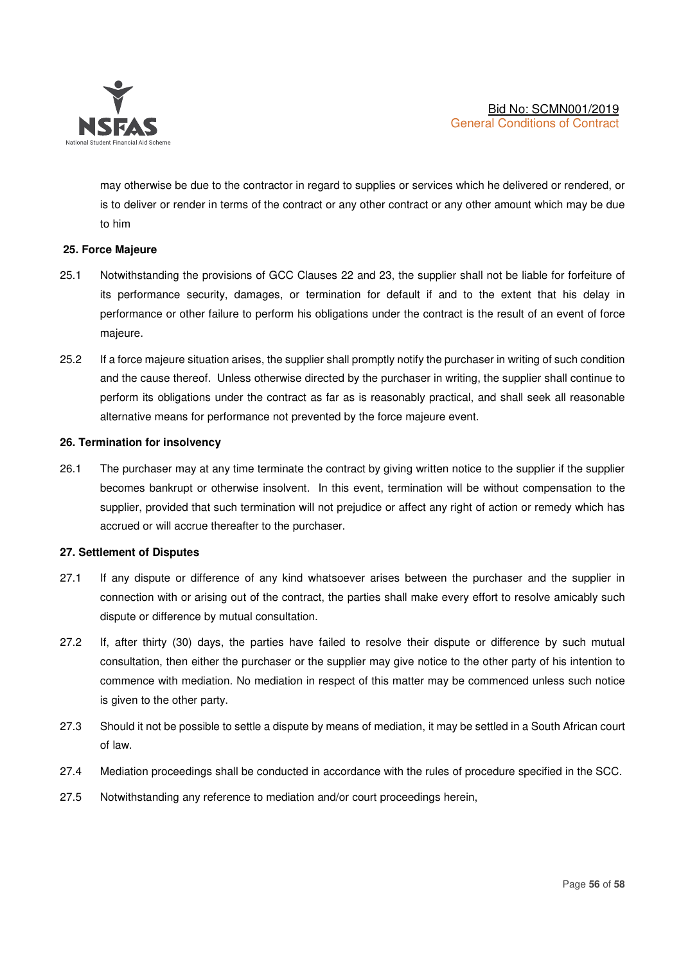

may otherwise be due to the contractor in regard to supplies or services which he delivered or rendered, or is to deliver or render in terms of the contract or any other contract or any other amount which may be due to him

## **25. Force Majeure**

- 25.1 Notwithstanding the provisions of GCC Clauses 22 and 23, the supplier shall not be liable for forfeiture of its performance security, damages, or termination for default if and to the extent that his delay in performance or other failure to perform his obligations under the contract is the result of an event of force majeure.
- 25.2 If a force majeure situation arises, the supplier shall promptly notify the purchaser in writing of such condition and the cause thereof. Unless otherwise directed by the purchaser in writing, the supplier shall continue to perform its obligations under the contract as far as is reasonably practical, and shall seek all reasonable alternative means for performance not prevented by the force majeure event.

#### **26. Termination for insolvency**

26.1 The purchaser may at any time terminate the contract by giving written notice to the supplier if the supplier becomes bankrupt or otherwise insolvent. In this event, termination will be without compensation to the supplier, provided that such termination will not prejudice or affect any right of action or remedy which has accrued or will accrue thereafter to the purchaser.

#### **27. Settlement of Disputes**

- 27.1 If any dispute or difference of any kind whatsoever arises between the purchaser and the supplier in connection with or arising out of the contract, the parties shall make every effort to resolve amicably such dispute or difference by mutual consultation.
- 27.2 If, after thirty (30) days, the parties have failed to resolve their dispute or difference by such mutual consultation, then either the purchaser or the supplier may give notice to the other party of his intention to commence with mediation. No mediation in respect of this matter may be commenced unless such notice is given to the other party.
- 27.3 Should it not be possible to settle a dispute by means of mediation, it may be settled in a South African court of law.
- 27.4 Mediation proceedings shall be conducted in accordance with the rules of procedure specified in the SCC.
- 27.5 Notwithstanding any reference to mediation and/or court proceedings herein,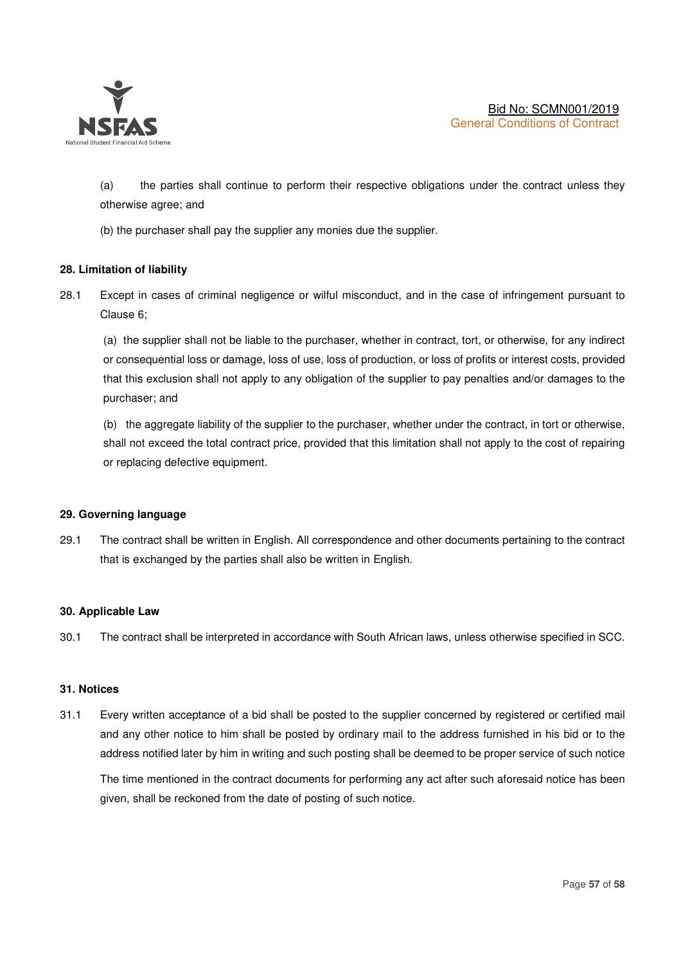

(a) the parties shall continue to perform their respective obligations under the contract unless they otherwise agree; and

(b) the purchaser shall pay the supplier any monies due the supplier.

## **28. Limitation of liability**

28.1 Except in cases of criminal negligence or wilful misconduct, and in the case of infringement pursuant to Clause 6;

(a) the supplier shall not be liable to the purchaser, whether in contract, tort, or otherwise, for any indirect or consequential loss or damage, loss of use, loss of production, or loss of profits or interest costs, provided that this exclusion shall not apply to any obligation of the supplier to pay penalties and/or damages to the purchaser; and

(b) the aggregate liability of the supplier to the purchaser, whether under the contract, in tort or otherwise, shall not exceed the total contract price, provided that this limitation shall not apply to the cost of repairing or replacing defective equipment.

#### **29. Governing language**

29.1 The contract shall be written in English. All correspondence and other documents pertaining to the contract that is exchanged by the parties shall also be written in English.

#### **30. Applicable Law**

30.1 The contract shall be interpreted in accordance with South African laws, unless otherwise specified in SCC.

#### **31. Notices**

31.1 Every written acceptance of a bid shall be posted to the supplier concerned by registered or certified mail and any other notice to him shall be posted by ordinary mail to the address furnished in his bid or to the address notified later by him in writing and such posting shall be deemed to be proper service of such notice

The time mentioned in the contract documents for performing any act after such aforesaid notice has been given, shall be reckoned from the date of posting of such notice.